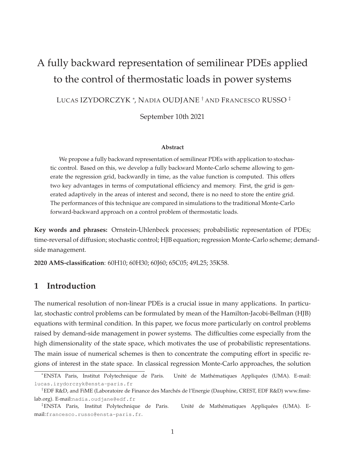# A fully backward representation of semilinear PDEs applied to the control of thermostatic loads in power systems

LUCAS IZYDORCZYK <sup>∗</sup> , NADIA OUDJANE † AND FRANCESCO RUSSO ‡

September 10th 2021

#### **Abstract**

We propose a fully backward representation of semilinear PDEs with application to stochastic control. Based on this, we develop a fully backward Monte-Carlo scheme allowing to generate the regression grid, backwardly in time, as the value function is computed. This offers two key advantages in terms of computational efficiency and memory. First, the grid is generated adaptively in the areas of interest and second, there is no need to store the entire grid. The performances of this technique are compared in simulations to the traditional Monte-Carlo forward-backward approach on a control problem of thermostatic loads.

**Key words and phrases:** Ornstein-Uhlenbeck processes; probabilistic representation of PDEs; time-reversal of diffusion; stochastic control; HJB equation; regression Monte-Carlo scheme; demandside management.

**2020 AMS-classification**: 60H10; 60H30; 60J60; 65C05; 49L25; 35K58.

### **1 Introduction**

The numerical resolution of non-linear PDEs is a crucial issue in many applications. In particular, stochastic control problems can be formulated by mean of the Hamilton-Jacobi-Bellman (HJB) equations with terminal condition. In this paper, we focus more particularly on control problems raised by demand-side management in power systems. The difficulties come especially from the high dimensionality of the state space, which motivates the use of probabilistic representations. The main issue of numerical schemes is then to concentrate the computing effort in specific regions of interest in the state space. In classical regression Monte-Carlo approaches, the solution

<sup>∗</sup>ENSTA Paris, Institut Polytechnique de Paris. Unité de Mathématiques Appliquées (UMA). E-mail: lucas.izydorczyk@ensta-paris.fr

<sup>†</sup>EDF R&D, and FiME (Laboratoire de Finance des Marchés de l'Energie (Dauphine, CREST, EDF R&D) www.fimelab.org). E-mail:nadia.oudjane@edf.fr

<sup>‡</sup>ENSTA Paris, Institut Polytechnique de Paris. Unité de Mathématiques Appliquées (UMA). Email:francesco.russo@ensta-paris.fr.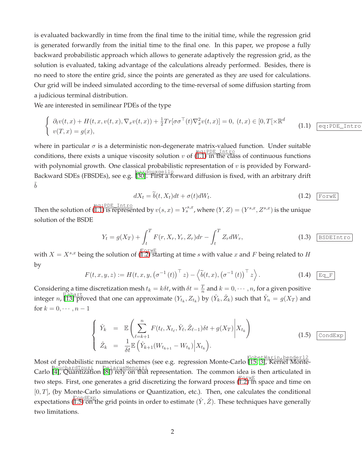is evaluated backwardly in time from the final time to the initial time, while the regression grid is generated forwardly from the initial time to the final one. In this paper, we propose a fully backward probabilistic approach which allows to generate adaptively the regression grid, as the solution is evaluated, taking advantage of the calculations already performed. Besides, there is no need to store the entire grid, since the points are generated as they are used for calculations. Our grid will be indeed simulated according to the time-reversal of some diffusion starting from a judicious terminal distribution.

We are interested in semilinear PDEs of the type

<span id="page-1-0"></span>
$$
\begin{cases}\n\partial_t v(t,x) + H(t,x,v(t,x), \nabla_x v(t,x)) + \frac{1}{2} Tr[\sigma \sigma^\top(t) \nabla_x^2 v(t,x)] = 0, \ (t,x) \in [0,T[ \times \mathbb{R}^d \quad (1.1) \quad \boxed{\text{eq:PD}}\n\end{cases}
$$

where in particular  $\sigma$  is a deterministic non-degenerate matrix-valued function. Under suitable conditions, there exists a unique viscosity solution v of  $(\overline{1.1})$  in the class of continuous functions with polynomial growth. One classical probabilistic representation of  $v$  is provided by Forward-Backward SDEs (FBSDEs), see e.g. pardouxgeilo [\[30\]](#page-32-0). First a forward diffusion is fixed, with an arbitrary drift  $\tilde{b}$ 

<span id="page-1-1"></span>
$$
dX_t = \tilde{b}(t, X_t)dt + \sigma(t)dW_t.
$$
\n(1.2)  $\boxed{\text{Fourier}}$ 

Intro

Then the solution of  $(\overline{1.1})$  is represented by  $v(s, x) = Y_s^{s,x}$ , where  $(Y, Z) = (Y^{s,x}, Z^{s,x})$  is the unique solution of the BSDE

$$
Y_t = g(X_T) + \int_t^T F(r, X_r, Y_r, Z_r) dr - \int_t^T Z_r dW_r,
$$
\n(1.3) BSDEIntro

with  $X = X^{s,x}$  being the solution of  $(\overline{1.2})$  starting at time s with value x and F being related to H by

$$
F(t, x, y, z) := H(t, x, y, (\sigma^{-1}(t))^{\top} z) - \langle \widetilde{b}(t, x), (\sigma^{-1}(t))^{\top} z \rangle.
$$
 (1.4) Eq\_F

Considering a time discretization mesh  $t_k = k \delta t$ , with  $\delta t = \frac{T}{n}$  $\frac{T}{n}$  and  $k = 0, \cdots, n$ , for a given positive integer n,  $\prod_{i=1}^{\lfloor \frac{n}{2}\rfloor}$  proved that one can approximate  $(Y_{t_k}, Z_{t_k})$  by  $(\hat{Y}_k, \hat{Z}_k)$  such that  $\hat{Y}_n = g(X_T)$  and for  $k = 0, \cdots, n-1$ 

<span id="page-1-2"></span>
$$
\begin{cases}\n\hat{Y}_k = \mathbb{E}\left(\sum_{\ell=k+1}^n F(t_\ell, X_{t_\ell}, \hat{Y}_\ell, \hat{Z}_{\ell-1})\delta t + g(X_T)\middle|X_{t_k}\right) \\
\hat{Z}_k = \frac{1}{\delta t} \mathbb{E}\left(\hat{Y}_{k+1}(W_{t_{k+1}} - W_{t_k})\middle|X_{t_k}\right).\n\end{cases}
$$
\n(1.5)  $\boxed{\text{CondExp}}$ 

Most of probabilistic numerical schemes (see e.g. regression Monte-Carlo GobetWarin,bender12 [\[15,](#page-31-0) [3\]](#page-30-1), Kernel Monte-Carlo  $\beta$ <sub>OuchardTouzi</sub> DelarueMenozzi<br>Carlo (4), Quantization (8)) rely on that representation. The common idea is then articulated in two steps. First, one generates a grid discretizing the forward process ([1.2\)](#page-1-1) in space and time on  $[0, T]$ , (by Monte-Carlo simulations or Quantization, etc.). Then, one calculates the conditional expectations (I.5) on the grid points in order to estimate  $(\hat{Y}, \hat{Z})$ . These techniques have generally two limitations.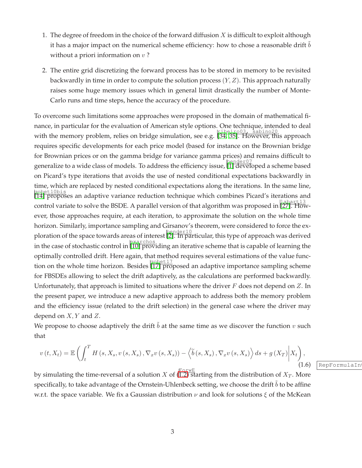- 1. The degree of freedom in the choice of the forward diffusion  $X$  is difficult to exploit although it has a major impact on the numerical scheme efficiency: how to chose a reasonable drift  $b$ without a priori information on  $v$ ?
- 2. The entire grid discretizing the forward process has to be stored in memory to be revisited backwardly in time in order to compute the solution process  $(Y, Z)$ . This approach naturally raises some huge memory issues which in general limit drastically the number of Monte-Carlo runs and time steps, hence the accuracy of the procedure.

To overcome such limitations some approaches were proposed in the domain of mathematical finance, in particular for the evaluation of American style options. One technique, intended to deal with the memory problem, relies on bridge simulation, see e.g. [\[34,](#page-32-1) [35\]](#page-32-2). However, this approach requires specific developments for each price model (based for instance on the Brownian bridge for Brownian prices or on the gamma bridge for variance gamma prices) and remains difficult to generalize to a wide class of models. To address the efficiency issue, [\[1\]](#page-30-4) developed a scheme based on Picard's type iterations that avoids the use of nested conditional expectations backwardly in time, which are replaced by nested conditional expectations along the iterations. In the same line, gobet10bis<br>[\[14\]](#page-30-5) proposes an adaptive variance reduction technique which combines Picard's iterations and control variate to solve the BSDE. A parallel version of that algorithm was proposed in [\[27\]](#page-31-1). However, those approaches require, at each iteration, to approximate the solution on the whole time horizon. Similarly, importance sampling and Girsanov's theorem, were considered to force the ex-ploration of the space towards areas of interest [\[2\]](#page-30-6). In particular, this type of approach was derived in the case of stochastic control in [\[10\]](#page-30-7) providing an iterative scheme that is capable of learning the optimally controlled drift. Here again, that method requires several estimations of the value function on the whole time horizon. Besides  $\frac{17}{17}$  proposed an adaptive importance sampling scheme for FBSDEs allowing to select the drift adaptively, as the calculations are performed backwardly. Unfortunately, that approach is limited to situations where the driver  $F$  does not depend on  $Z$ . In the present paper, we introduce a new adaptive approach to address both the memory problem and the efficiency issue (related to the drift selection) in the general case where the driver may depend on  $X, Y$  and  $Z$ .

We propose to choose adaptively the drift b at the same time as we discover the function  $v$  such that

$$
v(t, X_t) = \mathbb{E}\left(\int_t^T H\left(s, X_s, v\left(s, X_s\right), \nabla_x v\left(s, X_s\right)\right) - \left\langle \widetilde{b}\left(s, X_s\right), \nabla_x v\left(s, X_s\right) \right\rangle ds + g\left(X_T\right) \middle| X_t \right),\tag{1.6}
$$

by simulating the time-reversal of a solution X of  $(\overline{1.2})^{\text{newE}}$  from the distribution of  $X_T$ . More specifically, to take advantage of the Ornstein-Uhlenbeck setting, we choose the drift  $b$  to be affine w.r.t. the space variable. We fix a Gaussian distribution  $\nu$  and look for solutions  $\xi$  of the McKean

RepFormulaIn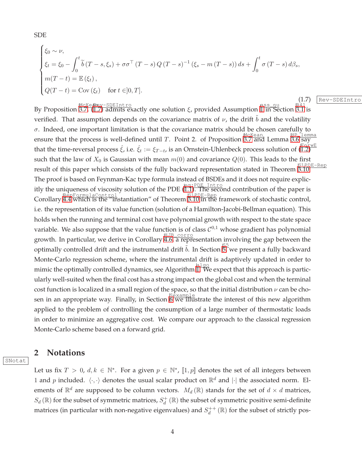SDE

<span id="page-3-0"></span>
$$
\begin{cases} \xi_0 \sim \nu, \\ \xi_t = \xi_0 - \int_0^t \widetilde{b}(T - s, \xi_s) + \sigma \sigma^\top (T - s) Q (T - s)^{-1} (\xi_s - m (T - s)) ds + \int_0^t \sigma (T - s) d\beta_s, \\ m(T - t) = \mathbb{E} (\xi_t), \\ Q(T - t) = \text{Cov} (\xi_t) \quad \text{for } t \in ]0, T]. \end{cases}
$$

(1.7) Rev-SDEIntro By Proposition 3.7, (II.7) admits exactly one solution ξ, provided Assumption II in Section 3.[1](#page-5-0) is verified. That assumption depends on the covariance matrix of  $\nu$ , the drift  $b$  and the volatility  $\sigma$ . Indeed, one important limitation is that the covariance matrix should be chosen carefully to ensure that the process is well-defined until T. Point 2. of Proposition 3.7 and Lemma 3.6 say that the time-reversal process  $\hat{\xi}$ , i.e.  $\hat{\xi}_t := \xi_{T-t}$ , is an Ornstein-Uhlenbeck process solution of  $(\overline{1.2})$ ForwE such that the law of  $X_0$  is Gaussian with mean  $m(0)$  and covariance  $Q(0)$ . This leads to the first result of this paper which consists of the fully backward representation stated in Theorem 6.10. )E-Rep The proof is based on Feynman-Kac type formula instead of BSDEs and it does not require explicitly the uniqueness of viscosity solution of the PDE  $(\overline{1.1})$ . The second contribution of the paper is RepFormulaControl<br>Corollary [4.4](#page-17-0) which is the "instantiation" of Theorem [3.10](#page-12-0) in the framework of stochastic control, i.e. the representation of its value function (solution of a Hamilton-Jacobi-Bellman equation). This holds when the running and terminal cost have polynomial growth with respect to the state space variable. We also suppose that the value function is of class  $C^{0,1}$  whose gradient has polynomial growth. In particular, we derive in Corollary [4.6,](#page-19-0) a representation involving the gap between the optimally controlled drift and the instrumental drift  $\tilde{b}$ . In Section  $\overline{5}$ , we present a fully backward Monte-Carlo regression scheme, where the instrumental drift is adaptively updated in order to mimic the optimally controlled dynamics, see Algorithm  $\prod_{i=1}^{\lfloor \frac{n}{2}\rfloor}$ . We expect that this approach is particularly well-suited when the final cost has a strong impact on the global cost and when the terminal cost function is localized in a small region of the space, so that the initial distribution  $\nu$  can be chosen in an appropriate way. Finally, in Section  $\frac{S\ddot{e}xamp\ddot{e}xamp\ddot{e}}{S\ddot{e}xamp\ddot{e}}$  the interest of this new algorithm applied to the problem of controlling the consumption of a large number of thermostatic loads in order to minimize an aggregative cost. We compare our approach to the classical regression Monte-Carlo scheme based on a forward grid.

### **2 Notations**

SNotat

Let us fix  $T > 0$ ,  $d, k \in \mathbb{N}^*$ . For a given  $p \in \mathbb{N}^*$ ,  $[1, p]$  denotes the set of all integers between 1 and p included.  $\langle \cdot, \cdot \rangle$  denotes the usual scalar product on  $\mathbb{R}^d$  and  $|\cdot|$  the associated norm. Elements of  $\mathbb{R}^d$  are supposed to be column vectors.  $M_d(\mathbb{R})$  stands for the set of  $d \times d$  matrices,  $S_d(\mathbb{R})$  for the subset of symmetric matrices,  $S_d^+(\mathbb{R})$  the subset of symmetric positive semi-definite matrices (in particular with non-negative eigenvalues) and  $S_d^{++}(\mathbb{R})$  for the subset of strictly pos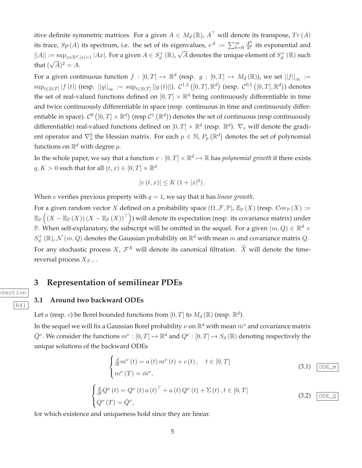itive definite symmetric matrices. For a given  $A \in M_d(\mathbb{R})$ ,  $A^{\top}$  will denote its transpose,  $Tr(A)$ its trace,  $Sp\left( A \right)$  its spectrum, i.e. the set of its eigenvalues,  $e^{A} := \sum_{k=0}^{\infty} \frac{A^{k}}{k!}$  $\frac{A^{\kappa}}{k!}$  its exponential and  $||A|| := \sup_{x \in \mathbb{R}^d, |x|=1} |Ax|$ . For a given  $A \in S_d^+(\mathbb{R})$ ,  $\sqrt{A}$  denotes the unique element of  $S_d^+(\mathbb{R})$  such that  $(\sqrt{A})^2 = A$ .

For a given continuous function  $f : [0,T] \mapsto \mathbb{R}^d$  (resp.  $g : [0,T] \mapsto M_d(\mathbb{R})$ ), we set  $||f||_{\infty} :=$  $\sup_{t\in[0,T]}|f\left(t\right)|$  (resp.  $\left|\left|g\right|\right|_{\infty}:=\sup_{t\in[0,T]}||g\left(t\right)||$ ).  $\mathcal{C}^{1,2}\left([0,T],\mathbb{R}^{d}\right)$  (resp.  $\mathcal{C}^{0,1}\left([0,T],\mathbb{R}^{d}\right))$  denotes the set of real-valued functions defined on  $[0,T] \times \mathbb{R}^d$  being continuously differentiable in time and twice continuously differentiable in space (resp. continuous in time and continuously differentiable in space).  $\mathcal{C}^0\left([0,T]\times\mathbb{R}^d\right)$  (resp  $\mathcal{C}^1\left(\mathbb{R}^d\right))$  denotes the set of continuous (resp continuously differentiable) real-valued functions defined on  $[0,T] \times \mathbb{R}^d$  (resp.  $\mathbb{R}^d$ ).  $\nabla_x$  will denote the gradient operator and  $\nabla_x^2$  the Hessian matrix. For each  $p \in \mathbb{N}$ ,  $P_p(\mathbb{R}^d)$  denotes the set of polynomial functions on  $\mathbb{R}^d$  with degree  $p$ .

In the whole paper, we say that a function  $v:[0,T]\times\mathbb{R}^d\mapsto\mathbb{R}$  has *polynomial growth* if there exists  $q, K > 0$  such that for all  $(t, x) \in [0, T] \times \mathbb{R}^d$ 

$$
|v(t,x)| \le K (1+|x|^q).
$$

When *v* verifies previous property with  $q = 1$ , we say that it has *linear growth*.

For a given random vector X defined on a probability space  $(\Omega, \mathcal{F}, \mathbb{P})$ ,  $\mathbb{E}_{\mathbb{P}}(X)$  (resp.  $\text{Cov}_{\mathbb{P}}(X) :=$  $\mathbb{E}_{\mathbb{P}}\left(\left(X-\mathbb{E}_{\mathbb{P}}\left(X\right)\right)\left(X-\mathbb{E}_{\mathbb{P}}\left(X\right)\right)^{\top}\right)$ ) will denote its expectation (resp. its covariance matrix) under  $\mathbb P$ . When self-explanatory, the subscript will be omitted in the sequel. For a given  $(m,Q)\in\mathbb R^d\times\mathbb R^d$  $S_d^+(\mathbb{R})$ ,  $\mathcal{N}(m,Q)$  denotes the Gaussian probability on  $\mathbb{R}^d$  with mean  $m$  and covariance matrix  $Q$ . For any stochastic process X,  $\mathcal{F}^X$  will denote its canonical filtration.  $\hat{X}$  will denote the timereversal process  $X_{T}$  –  $\ldots$ 

# <span id="page-4-0"></span>**3 Representation of semilinear PDEs**

### **3.1 Around two backward ODEs**

**Section** 

R41

Let  $a$  (resp.  $c$ ) be Borel bounded functions from  $[0,T]$  to  $M_d(\mathbb{R})$  (resp.  $\mathbb{R}^d$ ).

In the sequel we will fix a Gaussian Borel probability  $\nu$  on  $\mathbb{R}^d$  with mean  $\bar{m}^\nu$  and covariance matrix  $\bar{Q}^{\nu}$ . We consider the functions  $m^{\nu}:[0,T]\mapsto\mathbb{R}^{d}$  and  $Q^{\nu}:[0,T]\mapsto S_{d}(\mathbb{R})$  denoting respectively the unique solutions of the backward ODEs

<span id="page-4-1"></span>
$$
\begin{cases} \frac{d}{dt}m^{\nu}(t) = a(t)m^{\nu}(t) + c(t), \quad t \in [0, T] \\ m^{\nu}(T) = \bar{m}^{\nu}, \end{cases}
$$
\n(3.1) 
$$
\boxed{\text{ODE\_m}}
$$

<span id="page-4-2"></span>
$$
\begin{cases}\n\frac{d}{dt}Q^{\nu}(t) = Q^{\nu}(t) a(t)^{\top} + a(t) Q^{\nu}(t) + \Sigma(t), t \in [0, T] \\
Q^{\nu}(T) = \bar{Q}^{\nu},\n\end{cases}
$$
\n(3.2) [ODE\_0]

for which existence and uniqueness hold since they are linear.

5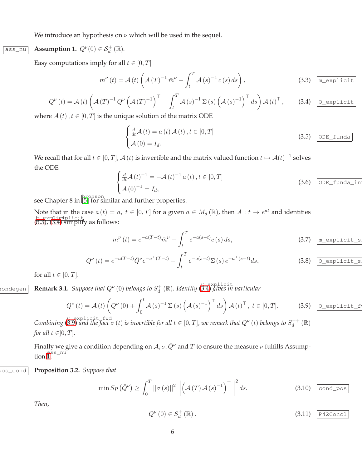We introduce an hypothesis on  $\nu$  which will be used in the sequel.

ass\_nu

<span id="page-5-0"></span>
$$
Assumption 1. Q^{\nu}(0) \in \mathcal{S}_d^+(\mathbb{R}).
$$

Easy computations imply for all  $t \in [0, T]$ 

<span id="page-5-1"></span>
$$
m^{\nu}(t) = \mathcal{A}(t) \left( \mathcal{A}(T)^{-1} \,\bar{m}^{\nu} - \int_{t}^{T} \mathcal{A}(s)^{-1} \,c(s) \,ds \right),\tag{3.3}
$$

<span id="page-5-2"></span>
$$
Q^{\nu}(t) = \mathcal{A}(t) \left( \mathcal{A}(T)^{-1} \bar{Q}^{\nu} \left( \mathcal{A}(T)^{-1} \right)^{\top} - \int_{t}^{T} \mathcal{A}(s)^{-1} \Sigma(s) \left( \mathcal{A}(s)^{-1} \right)^{\top} ds \right) \mathcal{A}(t)^{\top}, \quad (3.4) \boxed{\mathcal{Q}\text{-explicit}}
$$

where  $A(t)$ ,  $t \in [0, T]$  is the unique solution of the matrix ODE

$$
\begin{cases}\n\frac{d}{dt}\mathcal{A}(t) = a(t)\mathcal{A}(t), t \in [0, T] \\
\mathcal{A}(0) = I_d.\n\end{cases}
$$
\n(3.5)  $\overline{\text{ODE\_funda}}$ 

We recall that for all  $t \in [0,T]$ ,  $\mathcal{A}(t)$  is invertible and the matrix valued function  $t \mapsto \mathcal{A}(t)^{-1}$  solves the ODE

$$
\begin{cases}\n\frac{d}{dt}\mathcal{A}(t)^{-1} = -\mathcal{A}(t)^{-1} a(t), t \in [0, T] \\
\mathcal{A}(0)^{-1} = I_d,\n\end{cases}
$$
\n(3.6)  $\boxed{\text{ODE\_funda\_in}}$ 

see Chapter 8 in  $\boxed{\frac{5 \text{ pronon}}{5}$  for similar and further properties.

Note that in the case  $a(t) = a$ ,  $t \in [0, T]$  for a given  $a \in M_d(\mathbb{R})$ , then  $\mathcal{A}: t \to e^{at}$  and identities m\_expl<u>icit</u><br>([3.3\)](#page-5-1), ([3.4\)](#page-5-2) simplify as follows:

$$
m^{\nu}(t) = e^{-a(T-t)} \bar{m}^{\nu} - \int_{t}^{T} e^{-a(s-t)} c(s) ds,
$$
 (3.7)  $\boxed{\text{m\_explicit\_s}}$ 

$$
Q^{\nu}(t) = e^{-a(T-t)} \bar{Q}^{\nu} e^{-a^{\top}(T-t)} - \int_{t}^{T} e^{-a(s-t)} \Sigma(s) e^{-a^{\top}(s-t)} ds,
$$
 (3.8) Q-explicit\_s

<span id="page-5-6"></span>for all  $t \in [0, T]$ .

 $\frac{1}{2}$  **Remark 3.1.** *Suppose that*  $Q^{\nu}(0)$  *belongs to*  $S_d^+(\mathbb{R})$ *. Identity*  $\frac{0}{(3.4)}$  $\frac{0}{(3.4)}$  $\frac{0}{(3.4)}$  *gives in particular* 

<span id="page-5-3"></span>
$$
Q^{\nu}(t) = \mathcal{A}(t) \left( Q^{\nu}(0) + \int_0^t \mathcal{A}(s)^{-1} \Sigma(s) \left( \mathcal{A}(s)^{-1} \right)^{\top} ds \right) \mathcal{A}(t)^{\top}, \ t \in [0, T]. \tag{3.9}
$$

 $\mathcal{L}_{\text{combining}}\left(\stackrel{\mathbb{Q}}{\mathcal{S}},\stackrel{\mathbb{Q}}{\mathcal{S}}\right)$  *and the fact*  $\sigma$   $(t)$  *is invertible for all*  $t\in[0,T]$ *, we remark that*  $Q^\nu\left(t\right)$  *belongs to*  $S_d^{++}(\mathbb{R})$ *for all*  $t \in ]0, T]$ *.* 

Finally we give a condition depending on  $A, \sigma, \bar{Q}^{\nu}$  and T to ensure the measure  $\nu$  fulfills Assump- $\lim_{n \to \infty}$ 

Q\_pos\_cond **Proposition 3.2.** *Suppose that*

<span id="page-5-5"></span>
$$
\min Sp\left(\bar{Q}^{\nu}\right) \ge \int_{0}^{T} \left| \left|\sigma\left(s\right)\right| \right|^{2} \left| \left| \left(\mathcal{A}\left(T\right)\mathcal{A}\left(s\right)^{-1}\right)^{\top} \right| \right|^{2} ds. \tag{3.10} \quad \text{\underline{cond\_pos}}
$$

*Then,*

<span id="page-5-4"></span>
$$
Q^{\nu}\left(0\right) \in S_d^+\left(\mathbb{R}\right). \tag{3.11}
$$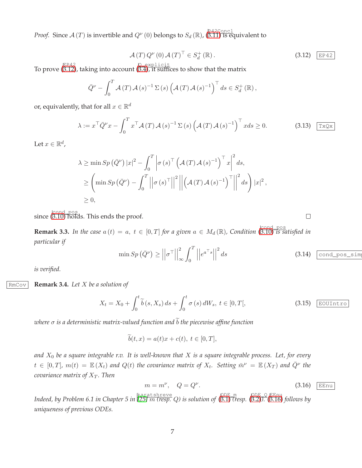*Proof.* Since  $\mathcal{A}(T)$  is invertible and  $Q^{\nu}(0)$  belongs to  $S_d(\mathbb{R})$ ,  $(\overline{3.11})$  is equivalent to

<span id="page-6-0"></span>
$$
\mathcal{A}(T) Q^{\nu}(0) \mathcal{A}(T)^{\top} \in S_d^+(\mathbb{R}). \tag{3.12}
$$

To prove  $\overline{(\text{S.12})}$ , taking into account  $(\overline{\text{S.4}})$ , it suffices to show that the matrix

$$
\overline{Q}^{\nu} - \int_0^T \mathcal{A}(T) \mathcal{A}(s)^{-1} \Sigma(s) \left( \mathcal{A}(T) \mathcal{A}(s)^{-1} \right)^{\top} ds \in S_d^+(\mathbb{R}),
$$

or, equivalently, that for all  $x\in\mathbb{R}^d$ 

$$
\lambda := x^{\top} \bar{Q}^{\nu} x - \int_0^T x^{\top} \mathcal{A}(T) \mathcal{A}(s)^{-1} \Sigma(s) \left( \mathcal{A}(T) \mathcal{A}(s)^{-1} \right)^{\top} x ds \ge 0.
$$
 (3.13)  $\boxed{\text{TxQx}}$ 

Let  $x \in \mathbb{R}^d$ ,

$$
\lambda \ge \min Sp\left(\bar{Q}^{\nu}\right)|x|^{2} - \int_{0}^{T} \left|\sigma\left(s\right)^{\top} \left(\mathcal{A}\left(T\right)\mathcal{A}\left(s\right)^{-1}\right)^{\top} x\right|^{2} ds, \ge \left(\min Sp\left(\bar{Q}^{\nu}\right) - \int_{0}^{T} \left|\left|\sigma\left(s\right)^{\top}\right|\right|^{2} \left|\left|\left(\mathcal{A}\left(T\right)\mathcal{A}\left(s\right)^{-1}\right)^{\top}\right|\right|^{2} ds\right) |x|^{2}, \ge 0,
$$

since (<sup>cond\_pos</sup>) since ([3.10\)](#page-5-5) holds. This ends the proof.

**Remark 3.3.** In the case  $a(t) = a, t \in [0,T]$  for a given  $a \in M_d(\mathbb{R})$ , Condition  $\left(\begin{array}{c} \text{cond } \text{pos} \\ \text{0.10} \end{array}\right)$  is satisfied in *particular if*

$$
\min Sp\left(\bar{Q}^{\nu}\right) \ge \left|\left|\sigma^{\top}\right|\right|_{\infty}^{2} \int_{0}^{T} \left|\left|e^{a^{\top}s}\right|\right|^{2} ds
$$
\n(3.14)  $\boxed{\text{cond\_pos\_sim}}$ 

<span id="page-6-2"></span>*is verified.*

RmCov **Remark 3.4.** *Let* X *be a solution of*

$$
X_t = X_0 + \int_0^t \widetilde{b}(s, X_s) ds + \int_0^t \sigma(s) dW_s, \ t \in [0, T[, \qquad (3.15) \quad \boxed{\text{EOUTntro}}
$$

*where*  $\sigma$  *is a deterministic matrix-valued function and*  $\tilde{b}$  *the piecewise affine function* 

$$
\widetilde{b}(t,x) = a(t)x + c(t), \ t \in [0,T],
$$

*and* X<sup>0</sup> *be a square integrable r.v. It is well-known that* X *is a square integrable process. Let, for every*  $t \in [0,T]$ ,  $m(t) = \mathbb{E}(X_t)$  and  $Q(t)$  the covariance matrix of  $X_t$ . Setting  $\bar{m}^{\nu} = \mathbb{E}(X_T)$  and  $\bar{Q}^{\nu}$  the *covariance matrix of*  $X_T$ *. Then* 

<span id="page-6-1"></span>
$$
m = m^{\nu}, \quad Q = Q^{\nu}.
$$
\n(3.16)  $\boxed{\text{EEnu}}$ 

*Indeed, by Problem 6.1 in Chapter 5 in* karatshreve *[\[25\]](#page-31-3)* m *(resp.* Q*) is solution of* ( ODE\_m [3.1\)](#page-4-1) *(resp.* ( ODE\_Q [3.2\)](#page-4-2)*).* ( EEnu [3.16\)](#page-6-1) *follows by uniqueness of previous ODEs.*

 $\Box$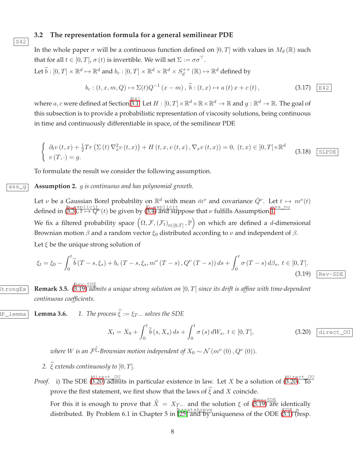#### **3.2 The representation formula for a general semilinear PDE**

In the whole paper  $\sigma$  will be a continuous function defined on [0, T] with values in  $M_d(\mathbb{R})$  such that for all  $t \in [0, T]$ ,  $\sigma(t)$  is invertible. We will set  $\Sigma := \sigma \sigma^{\top}$ . Let  $\widetilde{b}: [0,T] \times \mathbb{R}^d \mapsto \mathbb{R}^d$  and  $b_c : [0,T] \times \mathbb{R}^d \times \mathbb{R}^d \times S_d^{++}(\mathbb{R}) \mapsto \mathbb{R}^d$  defined by

<span id="page-7-5"></span>
$$
b_c: (t, x, m, Q) \mapsto \Sigma(t)Q^{-1}(x - m), \ \tilde{b}: (t, x) \mapsto a(t)x + c(t), \tag{3.17}
$$

where  $a,c$  were defined at Section  $\overline{\mathbb{S} .1}.$  Let  $H:[0,T]\times\mathbb{R}^d\times\mathbb{R}\times\mathbb{R}^d\to\mathbb{R}$  and  $g:\mathbb{R}^d\to\mathbb{R}.$  The goal of this subsection is to provide a probabilistic representation of viscosity solutions, being continuous in time and continuously differentiable in space, of the semilinear PDE

<span id="page-7-4"></span>
$$
\begin{cases}\n\partial_t v(t,x) + \frac{1}{2} Tr \left( \Sigma(t) \nabla_x^2 v(t,x) \right) + H(t,x,v(t,x), \nabla_x v(t,x)) = 0, (t,x) \in [0,T[ \times \mathbb{R}^d \quad (3.18) \quad \text{SLPDE} \\
v(T,\cdot) = g.\n\end{cases}
$$

<span id="page-7-3"></span>To formulate the result we consider the following assumption.

### ass\_g **Assumption 2.** g *is continuous and has polynomial growth.*

Let  $\nu$  be a Gaussian Borel probability on  $\mathbb{R}^d$  with mean  $\bar{m}^{\nu}$  and covariance  $\bar{Q}^{\nu}$ . Let  $t \mapsto m^{\nu}(t)$ defined in  $\frac{\ln \text{ explicit}}{(3.3), t \mapsto Q'}$  $\frac{\ln \text{ explicit}}{(3.3), t \mapsto Q'}$  $\frac{\ln \text{ explicit}}{(3.3), t \mapsto Q'}$  (*t*) be given by  $\frac{\ln \text{ explicit}}{(3.4)}$  $\frac{\ln \text{ explicit}}{(3.4)}$  $\frac{\ln \text{ explicit}}{(3.4)}$  and suppose that  $\nu$  fulfills Assumption  $\frac{\ln s s - nu}{n}$ We fix a filtered probability space  $\left(\Omega,\mathcal{F},\left(\mathcal{F}_t\right)_{t\in[0,T]},\mathbb{P}\right)$  on which are defined a  $d$ -dimensional Brownian motion  $\beta$  and a random vector  $\xi_0$  distributed according to  $\nu$  and independent of  $\beta$ .

Let  $\xi$  be the unique strong solution of

S42

<span id="page-7-2"></span><span id="page-7-0"></span>
$$
\xi_{t} = \xi_{0} - \int_{0}^{t} \tilde{b}(T - s, \xi_{s}) + b_{c}(T - s, \xi_{s}, m^{\nu}(T - s), Q^{\nu}(T - s)) ds + \int_{0}^{t} \sigma(T - s) d\beta_{s}, t \in [0, T].
$$
\n(3.19)  $\boxed{\text{Rev-SDE}}$ 

StrongEx **Remark 3.5.** ( Rev-SDE [3.19\)](#page-7-0) *admits a unique strong solution on* [0, T[ *since its drift is affine with time-dependent continuous coefficients.*

 $\overline{HP\_lemma}$  **Lemma 3.6.** *1. The process*  $\widehat{\xi}:= \xi_{T-}$  *solves the SDE* 

<span id="page-7-1"></span>
$$
X_t = X_0 + \int_0^t \widetilde{b}(s, X_s) ds + \int_0^t \sigma(s) dW_s, \ t \in [0, T[, \qquad (3.20) \quad \text{direct\_ou}
$$

*where W* is an  $\mathcal{F}^{\xi}$ -Brownian motion independent of  $X_0 \sim \mathcal{N}(m^{\nu}(0), Q^{\nu}(0))$ .

*2.*  $\widehat{\xi}$  extends continuously to  $[0, T]$ .

*Proof.* i) The SDE ([3.20\)](#page-7-1) admits in particular existence in law. Let X be a solution of (3.20). To prove the first statement, we first show that the laws of  $\hat{\xi}$  and X coincide.

For this it is enough to prove that  $\widehat{X} = X_{T-}$  and the solution  $\xi$  of  $\frac{\text{Rev-SDE}}{(3.19)}$  $\frac{\text{Rev-SDE}}{(3.19)}$  $\frac{\text{Rev-SDE}}{(3.19)}$  are identically distributed. By Problem 6.1 in Chapter 5 in [\[25\]](#page-31-3) and by uniqueness of the ODE  $_{(3.1)}^{\text{ODE m}}$  $_{(3.1)}^{\text{ODE m}}$  $_{(3.1)}^{\text{ODE m}}$  (resp.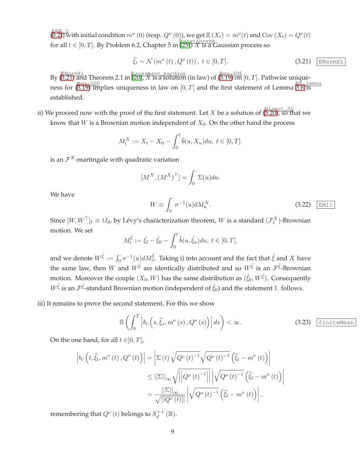$\sqrt{(B.2)}$  with initial condition  $m^{\nu}(0)$  (resp.  $Q^{\nu}(0)$ ), we get  $\mathbb{E}(X_t) = m^{\nu}(t)$  and  $Cov(X_t) = Q^{\nu}(t)$ for all  $t \in [0, T]$ . By Problem 6.2, Chapter 5 in  $\frac{\sqrt{\text{karat} \text{Shreve}}}{(251)}$  X is a Gaussian process so

<span id="page-8-0"></span>
$$
\hat{\xi}_t \sim \mathcal{N}\left(m^{\nu}\left(t\right), Q^{\nu}\left(t\right)\right), \ t \in [0, T]. \tag{3.21}
$$
  $\boxed{\text{ENormXi}}$ 

By  $(\overline{3.21})$  and Theorem 2.1 in  $(20)$ , X is a solution (in law) of  $(\overline{3.19})$  on  $[0, T]$ . Pathwise uniqueness for  $\frac{\text{Rev-SDE}}{\text{AD}}$  implies uniqueness in law on  $[0, T]$  and the first statement of Lemma  $\frac{\text{HP Llemma}}{\text{BD}}$ established.

ii) We proceed now with the proof of the first statement. Let X be a solution of  $\stackrel{\text{(direct_0)}}{\text{(3.20)}}$  $\stackrel{\text{(direct_0)}}{\text{(3.20)}}$  $\stackrel{\text{(direct_0)}}{\text{(3.20)}}$ , so that we know that  $W$  is a Brownian motion independent of  $X_0$ . On the other hand the process

$$
M_t^X := X_t - X_0 - \int_0^t \tilde{b}(u, X_u) du, \ t \in [0, T].
$$

is an  $\mathcal{F}^X$ -martingale with quadratic variation

$$
[M^X, (M^X)^\top] = \int_0^\cdot \Sigma(u) du.
$$

We have

$$
W \equiv \int_0^{\cdot} \sigma^{-1}(u) dM_u^X. \tag{3.22}
$$

Since  $[W, W^\top]_t \equiv tI_d$ , by Lévy's characterization theorem, W is a standard  $(\mathcal{F}^X_t)$ -Brownian motion. We set

$$
M_t^{\hat{\xi}} := \hat{\xi}_t - \hat{\xi}_0 - \int_0^t \tilde{b}(u, \hat{\xi}_u) du, \ t \in [0, T],
$$

and we denote  $W^{\hat{\xi}}:=\int_0^\cdot\sigma^{-1}(u)dM_u^{\hat{\xi}}.$  Taking i) into account and the fact that  $\hat{\xi}$  and  $X$  have the same law, then W and  $W^{\hat{\xi}}$  are identically distributed and so  $W^{\hat{\xi}}$  is an  $\mathcal{F}^{\hat{\xi}}$ -Brownian motion. Moreover the couple  $(X_0,W)$  has the same distribution as  $(\hat{\xi}_0,W^{\hat{\xi}}).$  Consequently  $W^{\hat{\xi}}$  is an  $\mathcal{F}^{\hat{\xi}}$ -standard Brownian motion (independent of  $\hat{\xi}_0$ ) and the statement 1. follows.

iii) It remains to prove the second statement. For this we show

<span id="page-8-1"></span>
$$
\mathbb{E}\left(\int_{0}^{T}\left|b_{c}\left(s,\widehat{\xi}_{s},m^{\nu}\left(s\right),Q^{\nu}\left(s\right)\right)\right|ds\right)<\infty.\tag{3.23}\quad \frac{\text{finiteMean}}{\text{finiteMean}}
$$

On the one hand, for all  $t \in ]0, T]$ ,

$$
\left| b_c \left( t, \hat{\xi}_t, m^{\nu}(t), Q^{\nu}(t) \right) \right| = \left| \Sigma(t) \sqrt{Q^{\nu}(t)^{-1}} \sqrt{Q^{\nu}(t)^{-1}} \left( \hat{\xi}_t - m^{\nu}(t) \right) \right|
$$
  

$$
\leq ||\Sigma||_{\infty} \sqrt{||Q^{\nu}(t)^{-1}||} \left| \sqrt{Q^{\nu}(t)^{-1}} \left( \hat{\xi}_t - m^{\nu}(t) \right) \right|
$$
  

$$
= \frac{||\Sigma||_{\infty}}{\sqrt{||Q^{\nu}(t)||}} \left| \sqrt{Q^{\nu}(t)^{-1}} \left( \hat{\xi}_t - m^{\nu}(t) \right) \right|,
$$

remembering that  $Q^{\nu}(t)$  belongs to  $S_d^{++}(\mathbb{R})$ .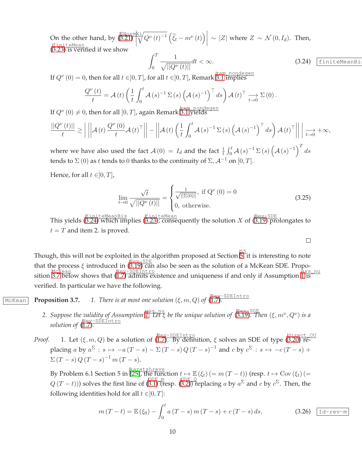On the other hand, by  $\frac{\text{ENormki}}{(3.21) \cdot \sqrt{3}}$  $\frac{\text{ENormki}}{(3.21) \cdot \sqrt{3}}$  $\frac{\text{ENormki}}{(3.21) \cdot \sqrt{3}}$  $\begin{array}{c}\n\downarrow \\
\downarrow \\
\downarrow\n\end{array}$  $\frac{\partial \zeta_{\perp}}{\partial \mathcal{A}} Q^{\nu}(t)^{-1} \left( \widehat{\xi}_t - m^{\nu}(t) \right) \sim |Z|$  where  $Z \sim \mathcal{N}(0, I_d)$ . Then, ( finiteMean [3.23\)](#page-8-1) is verified if we show

<span id="page-9-0"></span>
$$
\int_{0}^{T} \frac{1}{\sqrt{||Q^{\nu}(t)||}} dt < \infty.
$$
\n(3.24) [finiteMeanBi]

 $\Box$ 

If  $Q^{\nu}(0) = 0$ , then for all  $t \in ]0, T]$ , for all  $t \in ]0, T]$ , Remark  $\frac{\text{rem. nondegen}}{3.1}$  $\frac{\text{rem. nondegen}}{3.1}$  $\frac{\text{rem. nondegen}}{3.1}$  implies

$$
\frac{Q^{\nu}(t)}{t} = \mathcal{A}(t) \left( \frac{1}{t} \int_0^t \mathcal{A}(s)^{-1} \Sigma(s) \left( \mathcal{A}(s)^{-1} \right)^{\top} ds \right) \mathcal{A}(t)^{\top} \xrightarrow[t \to 0]{} \Sigma(0).
$$

If  $Q^{\nu}(0) \neq 0$ , then for all  $]0,T]$ , again Remark  $\overline{3.1}$  $\overline{3.1}$  $\overline{3.1}$  yields

$$
\frac{||Q^{\nu}(t)||}{t} \ge \left| \left| \left| \mathcal{A}(t) \frac{Q^{\nu}(0)}{t} \mathcal{A}(t)^{\top} \right| \right| - \left| \left| \mathcal{A}(t) \left( \frac{1}{t} \int_0^t \mathcal{A}(s)^{-1} \Sigma(s) \left( \mathcal{A}(s)^{-1} \right)^{\top} ds \right) \mathcal{A}(t)^{\top} \right| \right| \right| \xrightarrow[t \to 0]{} + \infty,
$$

where we have also used the fact  $\mathcal{A}(0) = I_d$  and the fact  $\frac{1}{t} \int_0^t \mathcal{A}(s)^{-1} \Sigma(s) \left( \mathcal{A}(s)^{-1} \right)^T ds$ tends to  $\Sigma$  (0) as t tends to 0 thanks to the continuity of  $\Sigma$ ,  $\mathcal{A}^{-1}$  on [0, T].

Hence, for all  $t \in ]0, T]$ ,

$$
\lim_{t \to 0} \frac{\sqrt{t}}{\sqrt{||Q^{\nu}(t)||}} = \begin{cases} \frac{1}{\sqrt{||\Sigma(0)||}}, \text{ if } Q^{\nu}(0) = 0\\ 0, \text{ otherwise.} \end{cases}
$$
\n(3.25)

This yields ( finiteMeanBis [3.24\)](#page-9-0) which implies ( finiteMean [3.23\)](#page-8-1); consequently the solution X of ( Rev-SDE [3.19\)](#page-7-0) prolongates to  $t = T$  and item 2. is proved.

Though, this will not be exploited in the algorithm proposed at Section  $\frac{S5}{D}$ , it is interesting to note that the process  $\xi$  introduced in ([3.19\)](#page-7-0) can also be seen as the solution of a McKean SDE. Propo-McKean<br>sition 3.7 below shows that ([1.7\)](#page-3-0) admits existence and uniqueness if and only if Assumption  $\frac{\text{lass nu}}{\text{lis}}$ verified. In particular we have the following.

McKean **Proposition 3.7.** *1. There is at most one solution*  $(\xi, m, Q)$  of  $(\overline{1.7})$ .

*2. Suppose the validity of Assumption* ass\_nu *[1.](#page-5-0) Let* ξ *be the unique solution of* ( Rev-SDE [3.19\)](#page-7-0)*. Then* (ξ, m<sup>ν</sup> , Q<sup>ν</sup> ) *is a solution of* ( Rev-SDEIntro [1.7\)](#page-3-0)*.*

*Proof.* 1. Let  $(\xi, m, Q)$  be a solution of  $(\overline{1.7})$ . By definition,  $\xi$  solves an SDE of type  $(\overline{3.20})$  replacing a by  $a^{\Sigma}: s \mapsto -a(T-s) - \Sigma(T-s)Q(T-s)^{-1}$  and  $c$  by  $c^{\Sigma}: s \mapsto -c(T-s) +$  $\Sigma(T - s) Q (T - s)^{-1} m (T - s).$ 

By Problem 6.1 Section 5 in  $\frac{\text{karatshree}}{25}$ , the function  $t \mapsto \mathbb{E}(\xi_t)$   $(= m(T-t))$  (resp.  $t \mapsto \text{Cov}(\xi_t)$ ) $(=$  $Q(T-t)$ )) solves the first line of  $\frac{\text{ODE Q}}{\text{S.1}}$  (resp.  $\frac{\text{ODE Q}}{\text{S.2}}$ ) replacing a by  $a^{\Sigma}$  and c by  $c^{\Sigma}$ . Then, the following identities hold for all  $t \in ]0, T]$ :

<span id="page-9-1"></span>
$$
m(T - t) = \mathbb{E}(\xi_0) - \int_0^t a(T - s) m(T - s) + c(T - s) ds,
$$
 (3.26)  $\boxed{\text{Id-rev-m}}$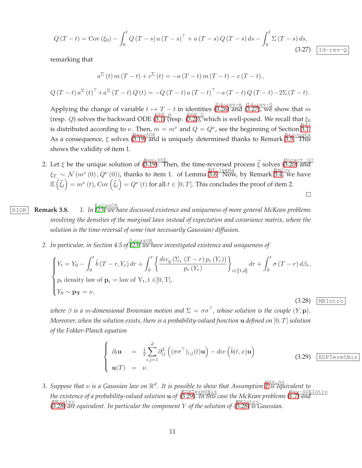<span id="page-10-0"></span>
$$
Q(T-t) = \text{Cov}(\xi_0) - \int_0^t Q(T-s) a (T-s)^{\top} + a (T-s) Q (T-s) ds - \int_0^t \Sigma (T-s) ds,
$$
\n(3.27)  $\boxed{\text{Id-rev}}$ 

remarking that

$$
a^{\Sigma}(t) m (T - t) + c^{\Sigma}(t) = -a (T - t) m (T - t) - c (T - t),
$$
  

$$
Q (T - t) a^{\Sigma}(t)^{\top} + a^{\Sigma}(T - t) Q (t) = -Q (T - t) a (T - t)^{\top} - a (T - t) Q (T - t) - 2\Sigma (T - t).
$$

Applying the change of variable  $t\mapsto T-t$  in identities  $(\overline{3.26})$  and  $(\overline{3.27})$ , we show that m (resp. Q) solves the backward ODE  $\frac{\text{ODE}}{\text{(B.1)} \text{ (resp. (B.2))}}$ , which is well-posed. We recall that  $\xi_0$ is distributed according to v. Then,  $m = m^{\nu}$  and  $Q = Q^{\nu}$ , see the beginning of Section [3.1.](#page-4-0) As a consequence,  $\xi$  solves ([3.19\)](#page-7-0) and is uniquely determined thanks to Remark [3.5.](#page-7-2) This shows the validity of item 1.

- 2. Let  $\xi$  be the unique solution of  $\frac{\text{Rev-SDE}}{(3.19)}$  $\frac{\text{Rev-SDE}}{(3.19)}$  $\frac{\text{Rev-SDE}}{(3.19)}$ . Then, the time-reversed process  $\hat{\xi}$  solves  $\frac{\text{direct\_OU}}{(3.20)}$  $\frac{\text{direct\_OU}}{(3.20)}$  $\frac{\text{direct\_OU}}{(3.20)}$  and  $\xi_T \sim \mathcal{N}(m^{\nu}(0), Q^{\nu}(0))$ , thanks to item 1. of Lemma 3.6. Now, by Remark [3.4,](#page-6-2) we have  $\mathbb{E}\left(\widehat{\xi}_t\right) = m^{\nu}\left(t\right)$ , Cov $\left(\widehat{\xi}_t\right) = Q^{\nu}\left(t\right)$  for all  $t \in [0, T[$ . This concludes the proof of item 2.  $\Box$
- RIOR **Remark 3.8.** *1. In* LucasOR *[\[23\]](#page-31-5) we have discussed existence and uniqueness of more general McKean problems involving the densities of the marginal laws instead of expectation and covariance matrix, where the solution is the time-reversal of some (not necessarily Gaussian) diffusion.*
	- 2. In particular, in Section 4.5 of [\[23\]](#page-31-5) we have investigated existence and uniqueness of

<span id="page-10-2"></span>
$$
\begin{cases}\nY_t = Y_0 - \int_0^t \tilde{b} (T - r, Y_r) dr + \int_0^t \left\{ \frac{div_y (\Sigma_i (T - r) p_r (Y_r))}{p_r (Y_r)} \right\}_{i \in [\![1, d]\!]} dr + \int_0^t \sigma (T - r) d\beta_r, \\
p_t \text{ density law of } \mathbf{p}_t = \text{law of } Y_t, t \in ]0, T[, \\
Y_0 \sim \mathbf{p_T} = \nu,\n\end{cases}
$$
\n(3.28) [MKHntro]

*where*  $\beta$  *is a m-dimensional Brownian motion and*  $\Sigma = \sigma \sigma^{\top}$ *, whose solution is the couple*  $(Y, \mathbf{p})$ *. Moreover, when the solution exists, there is a probability-valued function* u *defined on* [0, T] *solution of the Fokker-Planck equation*

<span id="page-10-1"></span>
$$
\begin{cases}\n\partial_t \mathbf{u} = \frac{1}{2} \sum_{i,j=1}^d \partial_{ij}^2 \left( (\sigma \sigma^\top)_{i,j}(t) \mathbf{u} \right) - div \left( \tilde{b}(t,x) \mathbf{u} \right) \\
\mathbf{u}(T) = \nu.\n\end{cases}
$$
\n(3.29)  $\boxed{\text{EDPTermOBis}}$ 

*3. Suppose that* ν *is a Gaussian law on* R d *. It is possible to show that Assumption* ass\_nu *[1](#page-5-0) is equivalent to the existence of a probability-valued solution* u *of* ( EDPTerm0Bis [3.29\)](#page-10-1)*. In this case the McKean problems* ( Rev-SDEIntro [1.7\)](#page-3-0) *and* ( MKIntro [3.28\)](#page-10-2) *are equivalent. In particular the component* Y *of the solution of* ( MKIntro [3.28\)](#page-10-2) *is Gaussian.*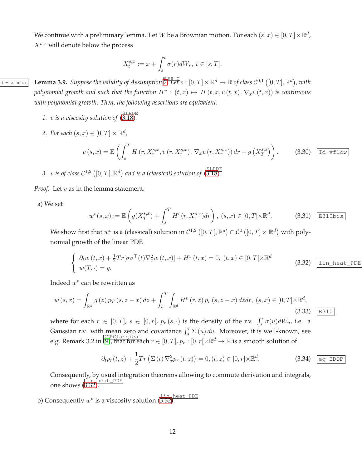We continue with a preliminary lemma. Let  $W$  be a Brownian motion. For each  $(s, x) \in [0, T] \times \mathbb{R}^d$ ,  $X^{s,x}$  will denote below the process

$$
X_t^{s,x} := x + \int_s^t \sigma(r)dW_r, \ t \in [s,T].
$$

 $\texttt{at}-\texttt{Lemma}$  **Lemma 3.9.** Suppose the validity of Assumption  $\overline{{\mathbb{E}}.\, \overline{\mathbb{L}}\overline{\mathbb{E}}\overline{\mathbb{E}}\, v}:[0,T]\times{\mathbb{R}}^d\to{\mathbb{R}}$  of class  $\mathcal{C}^{0,1}\left([0,T],{\mathbb{R}}^d\right)$ , with  $p$ olynomial growth and such that the function  $H^v : (t,x) \mapsto H(t,x,v(t,x),\nabla_x v(t,x))$  is continuous *with polynomial growth. Then, the following assertions are equivalent.*

- <span id="page-11-1"></span>1.  $v$  *is a viscosity solution of*  $\left(\frac{\text{SLPDE}}{\text{S.18}}\right)$ .
- 2. For each  $(s, x) \in [0, T] \times \mathbb{R}^d$ ,

$$
v(s,x) = \mathbb{E}\left(\int_{s}^{T} H\left(r, X^{s,x}_{r}, v\left(r, X^{s,x}_{r}\right), \nabla_{x}v\left(r, X^{s,x}_{r}\right)\right) dr + g\left(X^{s,x}_{T}\right)\right). \tag{3.30}
$$

3. v is of class  $C^{1,2}$   $([0,T[,\mathbb{R}^d)$  and is a (classical) solution of  $\sqrt{\text{SLPDE}}$ 

*Proof.* Let *v* as in the lemma statement.

a) We set

$$
w^v(s,x) := \mathbb{E}\left(g(X_T^{s,x}) + \int_s^T H^v(r,X_r^{s,x})dr\right), \ (s,x) \in [0,T[\times \mathbb{R}^d. \tag{3.31} \quad \boxed{\text{E310bis}}
$$

We show first that  $w^v$  is a (classical) solution in  $\mathcal{C}^{1,2}\left([0,T[,\mathbb{R}^d)\cap\mathcal{C}^0\left([0,T]\times\mathbb{R}^d\right)\right.$  with polynomial growth of the linear PDE

<span id="page-11-0"></span>
$$
\begin{cases}\n\partial_t w(t,x) + \frac{1}{2} Tr[\sigma \sigma^\top(t) \nabla_x^2 w(t,x)] + H^v(t,x) = 0, \ (t,x) \in [0,T[ \times \mathbb{R}^d \quad (3.32) \quad \boxed{\text{lin\_heat\_PDE}} \\
w(T,\cdot) = g.\n\end{cases}
$$

Indeed  $w^v$  can be rewritten as

$$
w(s,x) = \int_{\mathbb{R}^d} g(z) p_T(s, z - x) dz + \int_s^T \int_{\mathbb{R}^d} H^v(r, z) p_r(s, z - x) dz dr, (s, x) \in [0, T[ \times \mathbb{R}^d, (3.33) \quad \text{E310})
$$

where for each  $r \in [0, T]$ ,  $s \in [0, r]$ ,  $p_r(s, \cdot)$  is the density of the r.v.  $\int_s^r \sigma(u) dW_u$ , i.e. a Gaussian r.v. with mean zero and covariance  $\int_s^r \Sigma(u) du$ . Moreover, it is well-known, see e.g. Remark 3.2 in  $\left[\overline{9} \right]$ , that for each  $r \in [0,T]$ ,  $p_r : [0,r[ \times \mathbb{R}^d \to \mathbb{R}$  is a smooth solution of

$$
\partial_t p_r(t, z) + \frac{1}{2} Tr \left( \Sigma(t) \nabla_x^2 p_r(t, z) \right) = 0, (t, z) \in [0, r[ \times \mathbb{R}^d. \tag{3.34}
$$

Consequently, by usual integration theorems allowing to commute derivation and integrals, one shows ([3.32\)](#page-11-0).

b) Consequently  $w^v$  is a viscosity solution  $\frac{|\texttt{lin\_heat\_PDE}|}{|\texttt{3.32}|}$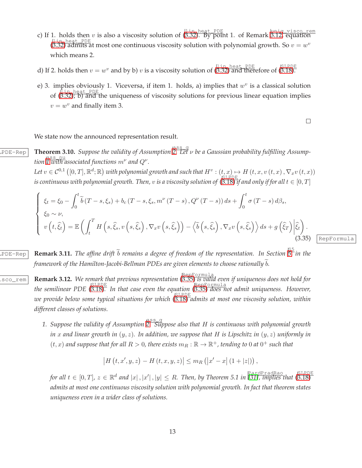- c) If 1. holds then v is also a viscosity solution of  $\frac{\ln n$  heat PDE t 1. of Remark [3.12,](#page-12-1) equation c  $\frac{11 \text{ in } \text{heat} - \text{PDE}}{(3.32)}$  $\frac{11 \text{ in } \text{heat} - \text{PDE}}{(3.32)}$  $\frac{11 \text{ in } \text{heat} - \text{PDE}}{(3.32)}$  admits at most one continuous viscosity solution with polynomial growth. So  $v = w^v$ which means 2.
- d) If 2. holds then  $v = w^v$  and by b) v is a viscosity solution of  $\frac{|\text{lin heat PDE}}{3.32}$  and therefore of  $\frac{|\text{SLPDE}}{3.18}$ .
- e) 3. implies obviously 1. Viceversa, if item 1. holds, a) implies that  $w^v$  is a classical solution of ([3.32\)](#page-11-0); b) and the uniqueness of viscosity solutions for previous linear equation implies  $v = w^v$  and finally item 3.

 $\Box$ 

<span id="page-12-0"></span>We state now the announced representation result.

<u>**[2.](#page-7-3)**<br>2. Let v be a Gaussian probability of Assumption 2. Let v be a Gaussian probability fulfilling Assump-</u> *tion* If with associated functions  $m^{\nu}$  and  $Q^{\nu}$ .

> Let  $v \in C^{0,1}([0,T], \mathbb{R}^d; \mathbb{R})$  with polynomial growth and such that  $H^v : (t, x) \mapsto H(t, x, v(t, x), \nabla_x v(t, x))$  $i$ s continuous with polynomial growth. Then,  $v$  is a viscosity solution of  $(3.18)$  $(3.18)$  if and only if for all  $t \in [0,T]$

<span id="page-12-2"></span>
$$
\begin{cases}\n\xi_t = \xi_0 - \int_0^t \tilde{b}(T - s, \xi_s) + b_c(T - s, \xi_s, m^\nu(T - s), Q^\nu(T - s)) ds + \int_0^t \sigma(T - s) d\beta_s, \\
\xi_0 \sim \nu, \\
v(t, \hat{\xi}_t) = \mathbb{E}\left(\int_t^T H\left(s, \hat{\xi}_s, v\left(s, \hat{\xi}_s\right), \nabla_x v\left(s, \hat{\xi}_s\right)\right) - \left\langle \tilde{b}\left(s, \hat{\xi}_s\right), \nabla_x v\left(s, \hat{\xi}_s\right) \right\rangle ds + g\left(\hat{\xi}_T\right) \bigg| \hat{\xi}_t\right). \n\tag{3.35}\n\end{cases}
$$

RepFormula

<span id="page-12-1"></span> $\frac{1}{2}$  **Remark 3.11.** The affine drift  $\tilde{b}$  remains a degree of freedom of the representation. In Section  $\frac{155}{10}$  in the *framework of the Hamilton-Jacobi-Bellman PDEs are given elements to choose rationally b.* 

- uniq\_visco\_rem **Remark 3.12.** *We remark that previous representation* ( RepFormula [3.35\)](#page-12-2) *is valid even if uniqueness does not hold for the semilinear PDE* ( SLPDE [3.18\)](#page-7-4)*. In that case even the equation* ( RepFormula [3.35\)](#page-12-2) *does not admit uniqueness. However, we provide below some typical situations for which* ( SLPDE [3.18\)](#page-7-4) *admits at most one viscosity solution, within different classes of solutions.*
	- 1. Suppose the validity of Assumption [2.](#page-7-3) Suppose also that H is continuous with polynomial growth *in* x *and linear growth in* (y, z)*. In addition, we suppose that* H *is Lipschitz in* (y, z) *uniformly in*  $(t, x)$  and suppose that for all  $R > 0$ , there exists  $m_R : \mathbb{R} \to \mathbb{R}^+$ , tending to 0 at  $0^+$  such that

$$
|H(t, x', y, z) - H(t, x, y, z)| \leq m_R (|x' - x| (1 + |z|)),
$$

 $f$ or all  $t \in [0,T]$ ,  $z \in \mathbb{R}^d$  and  $|x|$ ,  $|x'|$ ,  $|y| \le R$ . Then, by Theorem 5.1 in  $\frac{\text{Par}_{\text{PR}}}{31}$ , implies that  $\frac{\text{SLPPE}}{(3.18)}$  $\frac{\text{SLPPE}}{(3.18)}$  $\frac{\text{SLPPE}}{(3.18)}$ *admits at most one continuous viscosity solution with polynomial growth. In fact that theorem states uniqueness even in a wider class of solutions.*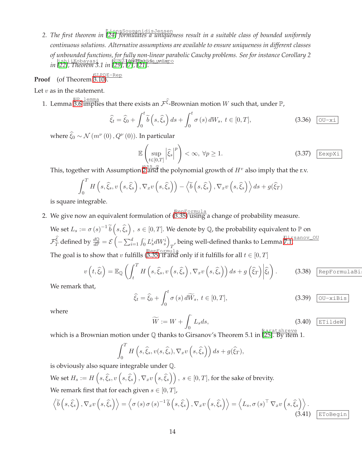*2. The first theorem in* LionsSouganidisJensen *[\[24\]](#page-31-6) formulates a uniqueness result in a suitable class of bounded uniformly continuous solutions. Alternative assumptions are available to ensure uniqueness in different classes of unbounded functions, for fully non-linear parabolic Cauchy problems. See for instance Corollary 2 i* ishiiKobayasi Munzi<del>n Meng</del>anjide uniispo<br>*in* [\[22\]](#page-31-7)*, Theorem 3.1 in* [\[29\]](#page-32-4), [\[7\]](#page-30-10), [\[21\]](#page-31-8)*.* 

**Proof** (of Theorem **3.10**).

Let  $v$  as in the statement.

1. Lemma  $\frac{\mathbb{HP} - \text{lemma}}{3.6}$  implies that there exists an  $\mathcal{F}^{\widehat{\xi}}$ -Brownian motion  $W$  such that, under  $\mathbb{P},$ 

$$
\widehat{\xi}_t = \widehat{\xi}_0 + \int_0^t \widetilde{b}\left(s, \widehat{\xi}_s\right) ds + \int_0^t \sigma\left(s\right) dW_s, \ t \in [0, T],\tag{3.36} \quad \boxed{\text{OU-xi}}
$$

where  $\widehat{\xi}_0 \sim \mathcal{N}(m^{\nu}(0), Q^{\nu}(0))$ . In particular

$$
\mathbb{E}\left(\sup_{t\in[0,T]} \left|\hat{\xi}_s\right|^p\right) < \infty, \ \forall p \ge 1. \tag{3.37} \quad \text{EexpXi}
$$

This, together with Assumption  $\overline{2}$  $\overline{2}$  $\overline{2}$  and the polynomial growth of  $H^v$  also imply that the r.v.

$$
\int_0^T H\left(s, \widehat{\xi}_s, v\left(s, \widehat{\xi}_s\right), \nabla_x v\left(s, \widehat{\xi}_s\right)\right) - \left\langle \widetilde{b}\left(s, \widehat{\xi}_s\right), \nabla_x v\left(s, \widehat{\xi}_s\right) \right\rangle ds + g(\widehat{\xi}_T)
$$

is square integrable.

2. We give now an equivalent formulation of  $\beta$  ([3.35\)](#page-12-2) using a change of probability measure.

We set  $L_s:=\sigma\left(s\right)^{-1}\widetilde{b}\left(s,\widehat{\xi}_s\right),\ s\in[0,T].$  We denote by  $\mathbb Q$ , the probability equivalent to  $\mathbb P$  on  $\mathcal{F}_{T}^{\widehat{\xi}}$  defined by  $\frac{d\mathbb{Q}}{d\mathbb{P}} = \mathcal{E}\left(\right)$  $-\sum_{i=1}^d \int_0^{\cdot} L_s^i dW_s^i\bigg)$ *T*, being well-defined thanks to Lemma  $\sqrt{\frac{G_1 \text{rsanov}}{G_1}}$ . The goal is to show that  $v$  fulfills  $\frac{\mathsf{RepFormul}_3}{(3.35) \text{ if and only if it fulfills for all } t \in [0,T] }$  $\frac{\mathsf{RepFormul}_3}{(3.35) \text{ if and only if it fulfills for all } t \in [0,T] }$  $\frac{\mathsf{RepFormul}_3}{(3.35) \text{ if and only if it fulfills for all } t \in [0,T] }$ 

<span id="page-13-1"></span>
$$
v\left(t,\hat{\xi}_{t}\right)=\mathbb{E}_{\mathbb{Q}}\left(\int_{t}^{T}H\left(s,\hat{\xi}_{s},v\left(s,\hat{\xi}_{s}\right),\nabla_{x}v\left(s,\hat{\xi}_{s}\right)\right)ds+g\left(\hat{\xi}_{T}\right)\bigg|\hat{\xi}_{t}\right).
$$
 (3.38)  $\boxed{\text{RepFormulabi}}$ 

We remark that,

$$
\widehat{\xi}_t = \widehat{\xi}_0 + \int_0^t \sigma(s) d\widetilde{W}_s, \ t \in [0, T], \tag{3.39} \quad \textcircled{O} \quad \textcircled{J-xibis}
$$

where

<span id="page-13-2"></span>
$$
\widetilde{W} := W + \int_0^{\cdot} L_s ds,
$$
\n(3.40)  $\boxed{\text{trideW}}$ 

which is a Brownian motion under Q thanks to Girsanov's Theorem 5.1 in karatshreve [\[25\]](#page-31-3). By item 1.

$$
\int_0^T H\left(s, \widehat{\xi}_s, v(s, \widehat{\xi}_s), \nabla_x v\left(s, \widehat{\xi}_s\right)\right) ds + g(\widehat{\xi}_T),
$$

is obviously also square integrable under Q.

We set  $H_s:=H\left(s,\widehat{\xi}_s, v\left(s,\widehat{\xi}_s\right), \nabla_x v\left(s,\widehat{\xi}_s\right)\right),\ s\in[0,T],$  for the sake of brevity. We remark first that for each given  $s \in [0, T]$ ,

<span id="page-13-0"></span>
$$
\left\langle \widetilde{b}\left(s,\widehat{\xi}_{s}\right),\nabla_{x}v\left(s,\widehat{\xi}_{s}\right)\right\rangle = \left\langle \sigma\left(s\right)\sigma\left(s\right)^{-1}\widetilde{b}\left(s,\widehat{\xi}_{s}\right),\nabla_{x}v\left(s,\widehat{\xi}_{s}\right)\right\rangle = \left\langle L_{s},\sigma\left(s\right)^{\top}\nabla_{x}v\left(s,\widehat{\xi}_{s}\right)\right\rangle.
$$
\n(3.41)  $\boxed{\text{EToBegin}}$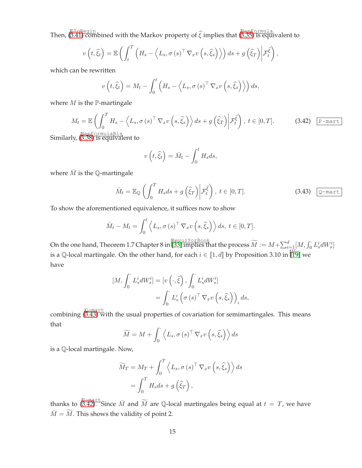Then,  $\frac{\mathbb{E} \text{ToBegin}}{(3.41) }$  $\frac{\mathbb{E} \text{ToBegin}}{(3.41) }$  $\frac{\mathbb{E} \text{ToBegin}}{(3.41) }$  combined with the Markov property of  $\widehat{\xi}$  implies that  $\frac{\mathbb{R} \text{epFormula}}{(3.35) }$  $\frac{\mathbb{R} \text{epFormula}}{(3.35) }$  $\frac{\mathbb{R} \text{epFormula}}{(3.35) }$  is equivalent to

$$
v(t,\widehat{\xi}_t) = \mathbb{E}\left(\int_t^T \left(H_s - \left\langle L_s, \sigma(s)^\top \nabla_x v\left(s,\widehat{\xi}_s\right)\right\rangle\right) ds + g\left(\widehat{\xi}_T\right) \bigg| \mathcal{F}_t^{\widehat{\xi}}\right),\right.
$$

which can be rewritten

$$
v(t,\widehat{\xi}_t) = M_t - \int_0^t \left( H_s - \left\langle L_s, \sigma(s)^\top \nabla_x v\left(s, \widehat{\xi}_s\right) \right\rangle \right) ds,
$$

where  $M$  is the  $\mathbb P$ -martingale

<span id="page-14-1"></span>
$$
M_{t} = \mathbb{E}\left(\int_{0}^{T} H_{s} - \left\langle L_{s}, \sigma\left(s\right)^{\top} \nabla_{x} v\left(s, \hat{\xi}_{s}\right) \right\rangle ds + g\left(\hat{\xi}_{T}\right) \middle| \mathcal{F}_{t}^{\hat{\xi}}\right), \ t \in [0, T].
$$
 (3.42) Parent  
Repermuabis

Similarly, ( RepFormulaBis [3.38\)](#page-13-1) is equivalent to

$$
v\left(t,\widehat{\xi}_t\right) = \bar{M}_t - \int_0^t H_s ds,
$$

where  $\overline{M}$  is the Q-martingale

<span id="page-14-0"></span>
$$
\bar{M}_t = \mathbb{E}_{\mathbb{Q}}\left(\int_0^T H_s ds + g\left(\hat{\xi}_T\right) \middle| \mathcal{F}_t^{\hat{\xi}}\right), \ t \in [0, T].\right)
$$
\n(3.43)  $\boxed{\mathbb{Q} \text{-mart}}$ 

To show the aforementioned equivalence, it suffices now to show

$$
\bar{M}_t - M_t = \int_0^t \left\langle L_s, \sigma(s)^\top \nabla_x v \left(s, \hat{\xi}_s \right) \right\rangle ds, \ t \in [0, T].
$$

On the one hand, Theorem 1.7 Chapter 8 in  $\overline{33}$  implies that the process  $\widetilde{M}:=M+\sum_{i=1}^d [M,\int_0^{\cdot}L^i_sdW^i_s]$ is a Q-local martingale. On the other hand, for each  $i \in [\![1, d]\!]$  by Proposition 3.10 in  $[\![\mathbf{\tilde{19}}]$  we have

$$
[M, \int_0^{\cdot} L_s^i dW_s^i] = [v \left( \cdot, \hat{\xi} \right), \int_0^{\cdot} L_s^i dW_s^i]
$$
  
= 
$$
\int_0^{\cdot} L_s^i \left( \sigma(s)^\top \nabla_x v \left( s, \hat{\xi}_s \right) \right)_i ds,
$$

combining  $(3.43)$  $(3.43)$  with the usual properties of covariation for semimartingales. This means that

$$
\widetilde{M} = M + \int_0^{\cdot} \left\langle L_s, \sigma(s)^\top \nabla_x v \left(s, \widehat{\xi}_s \right) \right\rangle ds
$$

is a Q-local martingale. Now,

$$
\widetilde{M}_T = M_T + \int_0^T \left\langle L_s, \sigma(s)^\top \nabla_x v \left(s, \widehat{\xi}_s \right) \right\rangle ds
$$

$$
= \int_0^T H_s ds + g\left(\widehat{\xi}_T\right),
$$

thanks to  $\overline{(\begin{smallmatrix} \mathbb{P} -\text{mart}} \ 3.42). \end{smallmatrix}}$  $\overline{(\begin{smallmatrix} \mathbb{P} -\text{mart}} \ 3.42). \end{smallmatrix}}$  $\overline{(\begin{smallmatrix} \mathbb{P} -\text{mart}} \ 3.42). \end{smallmatrix}}$  Since  $\bar{M}$  and  $\widetilde{M}$  are Q-local martingales being equal at  $t\,=\,T$ , we have  $\bar{M}=\widetilde{M}.$  This shows the validity of point 2.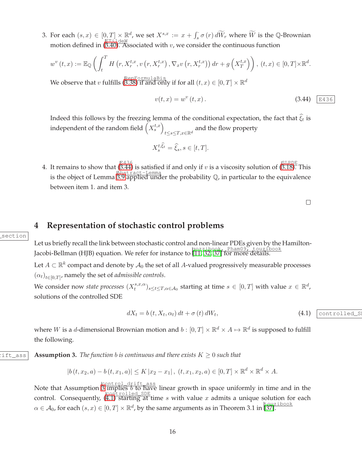3. For each  $(s, x) \in [0, T] \times \mathbb{R}^d$ , we set  $X^{s, x} := x + \int_s^s \sigma(r) d\widetilde{W}_r$  where  $\widetilde{W}$  is the Q-Brownian motion defined in ([3.40\)](#page-13-2). Associated with v, we consider the continuous function

$$
w^{v}(t,x) := \mathbb{E}_{\mathbb{Q}}\left(\int_{t}^{T} H\left(r, X_{r}^{t,x}, v\left(r, X_{r}^{t,x}\right), \nabla_{x} v\left(r, X_{r}^{t,x}\right)\right) dr + g\left(X_{T}^{t,x}\right)\right), (t,x) \in [0,T] \times \mathbb{R}^{d}.
$$

We observe that  $v$  fulfills ([3.38\)](#page-13-1) if and only if for all  $(t, x) \in [0, T] \times \mathbb{R}^d$ 

<span id="page-15-0"></span>
$$
v(t, x) = w^v(t, x).
$$
 (3.44)  $\boxed{\text{E436}}$ 

Indeed this follows by the freezing lemma of the conditional expectation, the fact that  $\xi_t$  is independent of the random field  $(X_s^{t,x})$  $t$ ≤ $s$ ≤ $T$ , $x$ ∈ℝ<sup> $d$ </sup> and the flow property

$$
X_s^{t,\hat{\xi}_t} = \hat{\xi}_s, s \in [t, T].
$$

4. It remains to show that  $(\overline{3.44})$  is satisfied if and only if v is a viscosity solution of  $(\overline{3.18})$ . This is the object of Lemma Abstract-Lemma [3.9](#page-11-1) applied under the probability Q, in particular to the equivalence between item 1. and item 3.

 $\Box$ 

### <span id="page-15-3"></span>**4 Representation of stochastic control problems**

Let us briefly recall the link between stochastic control and non-linear PDEs given by the Hamilton-Jacobi-Bellman (HJB) equation. We refer for instance to gozzibook, Pham09, touzibook [\[11,](#page-30-11) [32,](#page-32-6) [37\]](#page-32-7) for more details.

Let  $A\subset \mathbb{R}^k$  compact and denote by  $\mathcal{A}_0$  the set of all  $A$ -valued progressively measurable processes  $(\alpha_t)_{t\in[0,T]}$ , namely the set of *admissible controls*.

We consider now *state processes*  $(X_t^{s,x,\alpha})$  $(t^{s,x,\alpha}_t)_{s\leq t\leq T,\alpha\in\mathcal{A}_0}$  starting at time  $s\in[0,T]$  with value  $x\in\mathbb{R}^d$ , solutions of the controlled SDE

<span id="page-15-2"></span>
$$
dX_t = b(t, X_t, \alpha_t) dt + \sigma(t) dW_t,
$$
\n(4.1) (controlled\_s)

<span id="page-15-1"></span>where  $W$  is a d-dimensional Brownian motion and  $b:[0,T]\times\mathbb{R}^d\times A\mapsto\mathbb{R}^d$  is supposed to fulfill the following.

 $\text{dist}$ <sub>ass</sub> **Assumption 3.** The function b is continuous and there exists  $K \geq 0$  such that

 $|b(t, x_2, a) - b(t, x_1, a)| \le K |x_2 - x_1|, (t, x_1, x_2, a) \in [0, T] \times \mathbb{R}^d \times \mathbb{R}^d \times A.$ 

Note that Assumption  $\frac{|\text{control\_drift\_ass}|}{|\text{J implies } b \text{ to have}}$  linear growth in space uniformly in time and in the control. Consequently,  $(\overline{4.1})$  starting at time s with value x admits a unique solution for each  $\alpha \in \mathcal{A}_0$ , for each  $(s, x) \in [0, T] \times \mathbb{R}^d$ , by the same arguments as in Theorem 3.1 in [\[37\]](#page-32-7).

section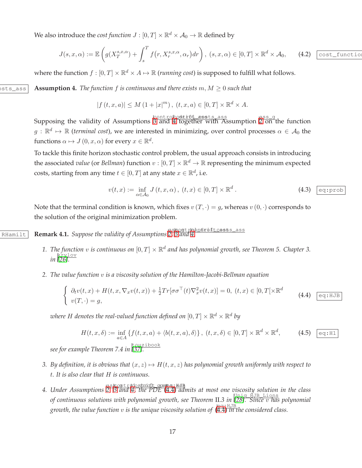We also introduce the *cost function*  $J : [0, T] \times \mathbb{R}^d \times \mathcal{A}_0 \to \mathbb{R}$  defined by

<span id="page-16-4"></span>
$$
J(s,x,\alpha) := \mathbb{E}\left(g(X_T^{s,x,\alpha}) + \int_s^T f\left(r, X_r^{s,x,\alpha}, \alpha_r\right) dr\right), \ (s,x,\alpha) \in [0,T] \times \mathbb{R}^d \times \mathcal{A}_0,\qquad \text{(4.2)}\quad \text{cost_function}
$$

<span id="page-16-0"></span>where the function  $f : [0, T] \times \mathbb{R}^d \times A \mapsto \mathbb{R}$  (*running cost*) is supposed to fulfill what follows.

 $\alpha$  **Controlactorstanarism 4.** *The function* f *is continuous and there exists*  $m, M \geq 0$  *such that* 

$$
|f(t, x, a)| \le M (1 + |x|^m), (t, x, a) \in [0, T] \times \mathbb{R}^d \times A.
$$

Supposing the validity of Assumptions  $\frac{|\text{contro/cotift\_assts\_ass}|}{|\text{controfcotler with Assumption 2 on the function}}$  $\frac{|\text{contro/cotift\_assts\_ass}|}{|\text{controfcotler with Assumption 2 on the function}}$  $\frac{|\text{contro/cotift\_assts\_ass}|}{|\text{controfcotler with Assumption 2 on the function}}$  $g:\mathbb{R}^d\mapsto\mathbb{R}$  (*terminal cost*), we are interested in minimizing, over control processes  $\alpha\in\mathcal{A}_0$  the functions  $\alpha \mapsto J(0, x, \alpha)$  for every  $x \in \mathbb{R}^d$ .

To tackle this finite horizon stochastic control problem, the usual approach consists in introducing the associated *value* (or *Bellman*) function  $v : [0, T] \times \mathbb{R}^d \to \mathbb{R}$  representing the minimum expected costs, starting from any time  $t \in [0, T]$  at any state  $x \in \mathbb{R}^d$ , i.e.

<span id="page-16-3"></span>
$$
v(t,x) := \inf_{\alpha \in \mathcal{A}_0} J(t,x,\alpha), \ (t,x) \in [0,T] \times \mathbb{R}^d \,. \tag{4.3}
$$

Note that the terminal condition is known, which fixes  $v(T, \cdot) = g$ , whereas  $v(0, \cdot)$  corresponds to the solution of the original minimization problem.

RHamilt **Remark [4.](#page-16-0)1.** *Suppose the validity of Assumptions [2,](#page-7-3) [3](#page-15-1) and* 4.

- <span id="page-16-2"></span>1. The function v is continuous on  $[0,T] \times \mathbb{R}^d$  and has polynomial growth, see Theorem 5. Chapter 3. *in* krylov *[\[26\]](#page-31-10).*
- *2. The value function* v *is a viscosity solution of the Hamilton-Jacobi-Bellman equation*

<span id="page-16-1"></span>
$$
\begin{cases}\n\partial_t v(t,x) + H(t,x,\nabla_x v(t,x)) + \frac{1}{2}Tr[\sigma\sigma^\top(t)\nabla_x^2 v(t,x)] = 0, \ (t,x) \in [0,T[\times \mathbb{R}^d \quad (4.4) \quad \text{eq:HJB} \\
v(T,\cdot) = g,\n\end{cases}
$$

where  $H$  denotes the real-valued function defined on  $[0,T]\times\mathbb{R}^d\times\mathbb{R}^d$  by

$$
H(t, x, \delta) := \inf_{a \in A} \left\{ f(t, x, a) + \langle b(t, x, a), \delta \rangle \right\}, \ (t, x, \delta) \in [0, T] \times \mathbb{R}^d \times \mathbb{R}^d, \tag{4.5} \boxed{\text{eq:HI}}
$$

*see for example Theorem 7.4 in* touzibook *[\[37\]](#page-32-7).*

- *3. By definition, it is obvious that*  $(x, z) \mapsto H(t, x, z)$  *has polynomial growth uniformly with respect to* t*. It is also clear that* H *is continuous.*
- 4. Under Assumptions [2,](#page-7-3) [3](#page-15-1) and [4,](#page-16-0) the PDE ([4.4\)](#page-16-1) admits at most one viscosity solution in the class *of continuous solutions with polynomial growth, see Theorem* II*.3 in* Uniq\_HJB\_Lions *[\[28\]](#page-32-8). Since* v *has polynomial growth, the value function* v is the unique viscosity solution of  $(\overline{4.4})$  in the considered class.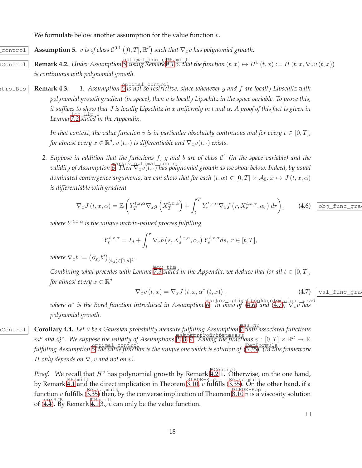<span id="page-17-4"></span><span id="page-17-1"></span>We formulate below another assumption for the value function  $v$ .

 $\boxed{\text{control}}$  **Assumption 5.** v is of class  $\mathcal{C}^{0,1}([0,T],\mathbb{R}^d)$  such that  $\nabla_x v$  has polynomial growth.

 $\overline{\text{Rernark 4.2.}}$  Under Assumption  $\overline{5}$ ,  $\overline{\text{using Remark 4.1 3.}}$  $\overline{\text{using Remark 4.1 3.}}$  $\overline{\text{using Remark 4.1 3.}}$  that the function  $(t, x) \mapsto H^v(t, x) := H(t, x, \nabla_x v(t, x))$ *is continuous with polynomial growth.*

RControlBis **Remark 4.3.** *1. Assumption* optimal\_control *[5](#page-17-1) is not so restrictive, since whenever* g *and* f *are locally Lipschitz with polynomial growth gradient (in space), then* v *is locally Lipschitz in the space variable. To prove this, it suffices to show that* J *is locally Lipschitz in* x *uniformly in* t *and* α*. A proof of this fact is given in Lemma* loc\_Lip\_J *[7.2](#page-28-0) stated in the Appendix.*

> *In that context, the value function* v *is in particular absolutely continuous and for every*  $t \in [0, T]$ *, for almost every*  $x \in \mathbb{R}^d$ ,  $v(t, \cdot)$  *is differentiable and*  $\nabla_x v(t, \cdot)$  *exists.*

*2. Suppose in addition that the functions* f*,* g *and* b *are of class* C 1 *(in the space variable) and the validity of Assumption*  $\frac{\text{maxkov\_optimal\_control}}{\text{mean } V_xv(t, \cdot)}$  *has polynomial growth as we show below. Indeed, by usual dominated convergence arguments, we can show that for each*  $(t, \alpha) \in [0, T] \times A_0$ ,  $x \mapsto J(t, x, \alpha)$ *is differentiable with gradient*

<span id="page-17-2"></span>
$$
\nabla_x J\left(t, x, \alpha\right) = \mathbb{E}\left(Y_T^{t, x, \alpha} \nabla_x g\left(X_T^{t, x, \alpha}\right) + \int_t^T Y_r^{t, x, \alpha} \nabla_x f\left(r, X_r^{t, x, \alpha}, \alpha_r\right) dr\right), \qquad (4.6) \quad \boxed{\text{obj\_func\_gra}}
$$

 $\overline{w}$  where  $Y^{t,x,\alpha}$  is the unique matrix-valued process fulfilling

$$
Y_r^{t,x,\alpha} = I_d + \int_t^r \nabla_x b\left(s, X_s^{t,x,\alpha}, \alpha_s\right) Y_s^{t,x,\alpha} ds, \ r \in [t,T],
$$

 $where \nabla_x b := \left(\partial_{x_j} b^i\right)_{(i,j) \in [\![1,d]\!]^2}.$ 

 $\frac{\text{leny}\text{-thm}}{2.3 \text{ stated in the Appendix}}$ , we deduce that for all  $t \in [0, T]$ , for almost every  $x \in \mathbb{R}^d$ 

<span id="page-17-3"></span>
$$
\nabla_x v(t,x) = \nabla_x J(t,x,\alpha^*(t,x)),\tag{4.7}
$$
  $\boxed{\text{val\_func\_gra}}$ 

<span id="page-17-0"></span> $w$ here  $\alpha^*$  is the Borel function introduced in Assumption [6.](#page-18-0) In view of ([4.6\)](#page-17-2) and ([4.7\)](#page-17-3)*,*  $\nabla_x v$  has *polynomial growth.*

RepFormulaControl **Corollary 4.4.** *Let* ν *be a Gaussian probability measure fulfilling Assumption* ass\_nu *[1](#page-5-0) with associated functions*  $m^{\nu}$  and  $Q^{\nu}$ . We suppose the validity of Assumptions [2,](#page-7-3) [3,](#page-15-1) [4.](#page-16-0) Among the functions  $v : [0, T] \times \mathbb{R}^d \to \mathbb{R}$ *fulfilling Assumption* optimal\_control *[5,](#page-17-1) the value function is the unique one which is solution of* ( RepFormula [3.35\)](#page-12-2)*. (In this framework H* only depends on  $\nabla_x v$  and not on v).

> *Proof.* We recall that  $H^v$  has polynomial growth by Remark [4.2](#page-17-4) 1. Otherwise, on the one hand, by Remark [4.1](#page-16-2) and the direct implication in Theorem [3.10,](#page-12-0) v fulfills ([3.35\)](#page-12-2). On the other hand, if a function v fulfills  $(3.35)$  $(3.35)$  then, by the converse implication of Theorem  $\frac{\text{SLPDE-Rep}}{\text{3.10 }v \text{ is a viscosity solution}}$  $\frac{\text{SLPDE-Rep}}{\text{3.10 }v \text{ is a viscosity solution}}$  $\frac{\text{SLPDE-Rep}}{\text{3.10 }v \text{ is a viscosity solution}}$ of ([4.4\)](#page-16-1). By Remark [4.1](#page-16-2) 3.,  $v$  can only be the value function.

> > $\Box$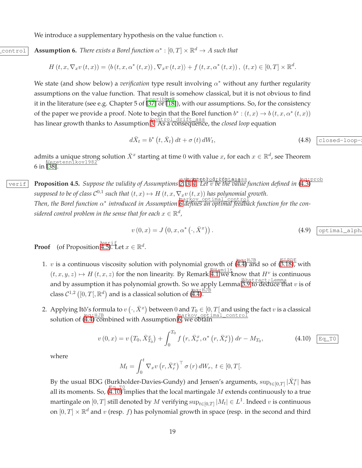<span id="page-18-0"></span>We introduce a supplementary hypothesis on the value function  $v$ .

# $\overline{\text{control}}$  **Assumption 6.** *There exists a Borel function*  $\alpha^* : [0, T] \times \mathbb{R}^d \to A$  *such that*

$$
H(t, x, \nabla_x v(t, x)) = \langle b(t, x, \alpha^*(t, x)), \nabla_x v(t, x) \rangle + f(t, x, \alpha^*(t, x)), (t, x) \in [0, T] \times \mathbb{R}^d.
$$

We state (and show below) a *verification* type result involving  $\alpha^*$  without any further regularity assumptions on the value function. That result is somehow classical, but it is not obvious to find it in the literature (see e.g. Chapter 5 of  $\frac{\text{touzibb@}}{37}$  or  $\frac{18}{18}$ ), with our assumptions. So, for the consistency of the paper we provide a proof. Note to begin that the Borel function  $b^*: (t, x) \to b(t, x, \alpha^*(t, x))$ has linear growth thanks to Assumption [3.](#page-15-1) As a consequence, the *closed loop* equation

$$
d\bar{X}_t = b^* \left( t, \bar{X}_t \right) dt + \sigma \left( t \right) dW_t, \tag{4.8}
$$

<span id="page-18-1"></span>admits a unique strong solution  $\bar{X}^x$  starting at time 0 with value x, for each  $x \in \mathbb{R}^d$ , see Theorem 6 in [\[38\]](#page-32-9). Veretennikov1982

verif P**roposition [4.](#page-16-0)5.** Suppose the validity of Assumptions [2,](#page-7-3) [3,](#page-15-1) 4. Let v be the value function defined in ([4.3\)](#page-16-3) *supposed to be of class*  $C^{0,1}$  *such that*  $(t, x) \mapsto H(t, x, \nabla_x v(t, x))$  *has polynomial growth. interprofilm all controlled in Assumption* [6](#page-18-0) defines an optimal control *(nortion for the con- Then, the Borel function* α<sup>\*</sup> *introduced in Assumption* 6 defines an optimal feedback function for the considered control problem in the sense that for each  $x \in \mathbb{R}^d$ ,

<span id="page-18-3"></span>
$$
v(0,x) = J(0,x,\alpha^*(\cdot,\bar{X}^x)).
$$
\n(4.9)  $\boxed{\text{optimal\_alpha}}$ 

**Proof** (of Proposition  $\sharp^{\text{verif}}$ , Let  $x \in \mathbb{R}^d$ .

- 1. *v* is a continuous viscosity solution with polynomial growth of  $(\overline{4.4})^{\text{eq};\text{HJB}}$  and so of  $(\overline{3.18})$ , with  $(t, x, y, z) \mapsto H(t, x, z)$  for the non linearity. By Remark [4.1](#page-16-2) we know that  $H^v$  is continuous and by assumption it has polynomial growth. So we apply Lemma  $\overline{B.9}$  to deduce that v is of class  $C^{1,2}([0,T],\mathbb{R}^d)$  and is a classical solution of  $(\overline{4.4})$ .
- 2. Applying Itô's formula to  $v(\cdot, \bar{X}^x)$  between 0 and  $T_0 \in [0, T[$  and using the fact v is a classical solution of ([4.4\)](#page-16-1) combined with Assumption [6,](#page-18-0) we obtain

<span id="page-18-2"></span>
$$
v(0,x) = v(T_0, \bar{X}_{T_0}^x) + \int_0^{T_0} f(r, \bar{X}_r^x, \alpha^*(r, \bar{X}_r^x)) dr - M_{T_0},
$$
\n(4.10)  $\boxed{\text{Eq\_T0}}$ 

where

$$
M_t = \int_0^t \nabla_x v \left( r, \bar{X}_r^x \right)^\top \sigma(r) dW_r, \ t \in [0, T[.
$$

By the usual BDG (Burkholder-Davies-Gundy) and Jensen's arguments,  $\sup_{t\in[0,T]}|\bar{X}_t^x|$  has all its moments. So,  $(Eq, T0)$  implies that the local martingale M extends continuously to a true martingale on  $[0,T]$  still denoted by  $M$  verifying  $\sup_{t\in [0,T]}|M_t|\in L^1.$  Indeed  $v$  is continuous on  $[0, T] \times \mathbb{R}^d$  and  $v$  (resp. *f*) has polynomial growth in space (resp. in the second and third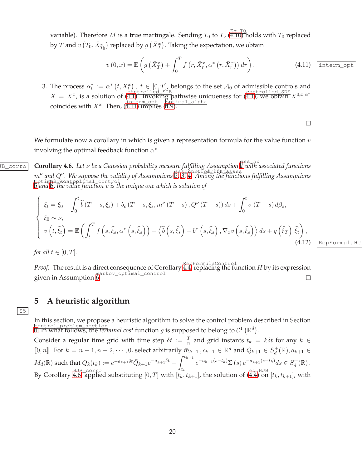variable). Therefore  $M$  is a true martingale. Sending  $T_0$  to  $T$ ,  $\overline{(^{EQ}_{\mathbf{4}}.\Pi^0)}$  holds with  $T_0$  replaced by  $T$  and  $v\left( T_0,\bar{X}^x_{T_0}\right)$  replaced by  $g\left(\bar{X}^x_T\right)$ . Taking the expectation, we obtain

<span id="page-19-2"></span>
$$
v(0,x) = \mathbb{E}\left(g\left(\bar{X}_T^x\right) + \int_0^T f\left(r, \bar{X}_r^x, \alpha^*\left(r, \bar{X}_r^x\right)\right) dr\right).
$$
 (4.11) interm-opt

3. The process  $\alpha_t^* := \alpha^* (t, \bar{X}_{t}^x), t \in [0, T]$ , belongs to the set  $\mathcal{A}_0$  of admissible controls and  $X = \overline{X}^x$ , is a solution of ([4.1\)](#page-15-2). Invoking pathwise uniqueness for (4.1), we obtain  $X^{0,x,\alpha^*}$ coincides with  $\bar{X}^x$ . Then,  $(\overline{4.11})$  implies  $(\overline{4.9})$ .

 $\Box$ 

RepFormulaHJ

<span id="page-19-0"></span>We formulate now a corollary in which is given a representation formula for the value function  $v$ involving the optimal feedback function  $\alpha^*$ .

HJB\_corro **Corollary 4.6.** *Let* ν *be a Gaussian probability measure fulfilling Assumption* ass\_nu *[1](#page-5-0) with associated functions* m<sup>v</sup> and Q<sup>v</sup>. We suppose the validity of Assumptions [2,](#page-7-3) [3,](#page-15-1) [4.](#page-16-0) Among the functions fulfilling Assumptions optimal\_control *[5](#page-17-1) and* markov\_optimal\_control *[6,](#page-18-0) the value function* v *is the unique one which is solution of*

$$
\begin{cases}\n\xi_t = \xi_0 - \int_0^t \widetilde{b}(T - s, \xi_s) + b_c(T - s, \xi_s, m^\nu(T - s), Q^\nu(T - s)) ds + \int_0^t \sigma(T - s) d\beta_s, \\
\xi_0 \sim \nu, \\
v(t, \widehat{\xi}_t) = \mathbb{E}\left(\int_t^T f\left(s, \widehat{\xi}_s, \alpha^*\left(s, \widehat{\xi}_s\right)\right) - \left\langle \widetilde{b}\left(s, \widehat{\xi}_s\right) - b^*\left(s, \widehat{\xi}_s\right), \nabla_x v\left(s, \widehat{\xi}_s\right) \right\rangle ds + g\left(\widehat{\xi}_T\right) \Big|\widehat{\xi}_t\right),\n\tag{4.12}
$$

*for all*  $t \in [0, T]$ *.* 

Proof. The result is a direct consequence of Corollary [4.4,](#page-17-0) replacing the function H by its expression markov\_optimal\_control given in Assumption [6.](#page-18-0)  $\Box$ 

# <span id="page-19-1"></span>**5 A heuristic algorithm**

 $|S5|$ 

In this section, we propose a heuristic algorithm to solve the control problem described in Section  $\frac{1}{2}$  control\_problem\_section<br>[4.](#page-15-3) In what follows, the *terminal cost* function g is supposed to belong to  $C^1(\mathbb{R}^d)$ .

Consider a regular time grid with time step  $\delta t := \frac{T}{n}$  and grid instants  $t_k = k \delta t$  for any  $k \in$ [0, *n*]. For  $k = n - 1, n - 2, \cdots, 0$ , select arbitrarily  $\bar{m}_{k+1}, c_{k+1} \in \mathbb{R}^d$  and  $\bar{Q}_{k+1} \in S_d^+(\mathbb{R}), a_{k+1} \in S_d^+(\mathbb{R})$  $M_d(\mathbb{R})$  such that  $Q_k(t_k):=e^{-a_{k+1}\delta t}\bar{Q}_{k+1}e^{-a_{k+1}^\top\delta t}-\int_t^{t_{k+1}}$  $t_k$  $e^{-a_{k+1}(s-t_k)}\Sigma(s) e^{-a_{k+1}^{\top}(s-t_k)}ds \in S_d^+(\mathbb{R}).$ By Corollary  $\frac{\mu_{\text{J}}}{4.6}$ , applied substituting  $[0,T]$  with  $[t_k,t_{k+1}]$ , the solution of  $\frac{\log_{3} HJD}{4.4}$  on  $[t_k,t_{k+1}]$ , with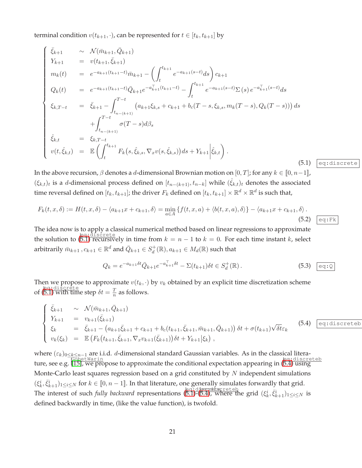terminal condition  $v(t_{k+1}, \cdot)$ , can be represented for  $t \in [t_k, t_{k+1}]$  by

<span id="page-20-0"></span>
$$
\begin{cases}\n\bar{\xi}_{k+1} & \sim \mathcal{N}(\bar{m}_{k+1}, \bar{Q}_{k+1}) \\
Y_{k+1} & = v(t_{k+1}, \bar{\xi}_{k+1}) \\
m_k(t) & = e^{-a_{k+1}(t_{k+1}-t)}\bar{m}_{k+1} - \left(\int_t^{t_{k+1}} e^{-a_{k+1}(s-t)} ds\right) c_{k+1} \\
Q_k(t) & = e^{-a_{k+1}(t_{k+1}-t)}\bar{Q}_{k+1}e^{-a_{k+1}^T(t_{k+1}-t)} - \int_t^{t_{k+1}} e^{-a_{k+1}(s-t)}\Sigma(s) e^{-a_{k+1}^T(s-t)} ds \\
\xi_{k,T-t} & = \bar{\xi}_{k+1} - \int_{t_{n-(k+1)}}^{T-t} (a_{k+1}\xi_{k,s} + c_{k+1} + b_c(T-s,\xi_{k,s}, m_k(T-s), Q_k(T-s))) ds \\
+ \int_{t_{n-(k+1)}}^{T-t} \sigma(T-s) d\beta_s \\
\hat{\xi}_{k,t} & = \xi_{k,T-t} \\
v(t,\hat{\xi}_{k,t}) & = \mathbb{E}\left(\int_t^{t_{k+1}} F_k(s,\hat{\xi}_{k,s}, \nabla_x v(s,\hat{\xi}_{k,s})) ds + Y_{k+1} \Big|\hat{\xi}_{k,t}\right). \n\end{cases} \tag{5.1}
$$

In the above recursion,  $\beta$  denotes a d-dimensional Brownian motion on  $[0, T]$ ; for any  $k \in [0, n-1]$ ,  $(\xi_{k,t})_t$  is a d-dimensional process defined on  $[t_{n-(k+1)}, t_{n-k}]$  while  $(\hat{\xi}_{k,t})_t$  denotes the associated time reversal defined on  $[t_k,t_{k+1}]$ ; the driver  $F_k$  defined on  $[t_k,t_{k+1}]\times\mathbb{R}^d\times\mathbb{R}^d$  is such that,

<span id="page-20-2"></span>
$$
F_k(t, x, \delta) := H(t, x, \delta) - \langle a_{k+1}x + c_{k+1}, \delta \rangle = \min_{a \in A} \{ f(t, x, a) + \langle b(t, x, a), \delta \rangle \} - \langle a_{k+1}x + c_{k+1}, \delta \rangle.
$$
\n(5.2)  $\boxed{\text{eq:Ek}}$ 

The idea now is to apply a classical numerical method based on linear regressions to approximate the solution to  $(\overline{5.1})$  recursively in time from  $k = n - 1$  to  $k = 0$ . For each time instant k, select arbitrarily  $\bar{m}_{k+1}$  ,  $c_{k+1} \in \mathbb{R}^d$  and  $\bar{Q}_{k+1} \in S_d^+(\mathbb{R}), a_{k+1} \in M_d(\mathbb{R})$  such that

$$
Q_k = e^{-a_{k+1}\delta t} \bar{Q}_{k+1} e^{-a_{k+1}^{\top}\delta t} - \Sigma(t_{k+1}) \delta t \in S_d^+(\mathbb{R}). \tag{5.3}
$$

Then we propose to approximate  $v(t_k, \cdot)$  by  $v_k$  obtained by an explicit time discretization scheme of  $\frac{\text{eq:discrete}}{\text{of (5.1) with time step } \delta t = \frac{T}{n}}$  $\frac{\text{eq:discrete}}{\text{of (5.1) with time step } \delta t = \frac{T}{n}}$  $\frac{\text{eq:discrete}}{\text{of (5.1) with time step } \delta t = \frac{T}{n}}$  $\frac{T}{n}$  as follows.

<span id="page-20-1"></span>
$$
\begin{cases}\n\bar{\xi}_{k+1} & \sim \mathcal{N}(\bar{m}_{k+1}, \bar{Q}_{k+1}) \\
Y_{k+1} & = v_{k+1}(\bar{\xi}_{k+1}) \\
\xi_k & = \bar{\xi}_{k+1} - (a_{k+1}\bar{\xi}_{k+1} + c_{k+1} + b_c(t_{k+1}, \bar{\xi}_{k+1}, \bar{m}_{k+1}, \bar{Q}_{k+1})) \,\delta t + \sigma(t_{k+1})\sqrt{\delta t} \varepsilon_k \\
v_k(\xi_k) & = \mathbb{E}\left(F_k(t_{k+1}, \bar{\xi}_{k+1}, \nabla_x v_{k+1}(\bar{\xi}_{k+1}))\delta t + Y_{k+1}|\xi_k\right),\n\end{cases}\n\tag{5.4}
$$

where  $(\varepsilon_k)_{0\leq k\leq n-1}$  are i.i.d. *d*-dimensional standard Gaussian variables. As in the classical litera-ture, see e.g. [\[15\]](#page-31-0), we propose to approximate the conditional expectation appearing in ([5.4\)](#page-20-1) using<br>for the conditional expectation appearing in (5.4) using Monte-Carlo least squares regression based on a grid constituted by  $N$  independent simulations  $(\xi_k^i, \overline{\xi}_{k+1}^i)_{1 \leq i \leq N}$  for  $k \in [0, n-1]$ . In that literature, one generally simulates forwardly that grid. The interest of such *fully backward* representations ([5.1\)](#page-20-0)-([5.4\)](#page-20-1), where the grid  $(\xi_k^i, \overline{\xi_{k+1}^i})_{1 \leq i \leq N}$  is defined backwardly in time, (like the value function), is twofold.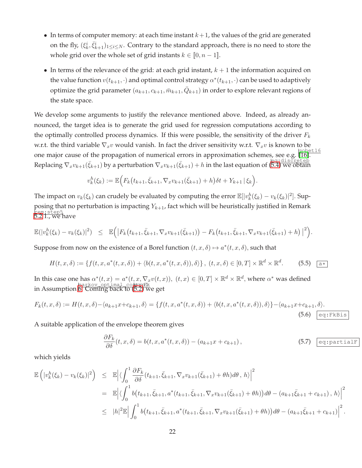- In terms of computer memory: at each time instant  $k+1$ , the values of the grid are generated on the fly,  $(\xi_k^i, \bar{\xi}_{k+1}^i)_{1 \leq i \leq N}$ . Contrary to the standard approach, there is no need to store the whole grid over the whole set of grid instants  $k \in [0, n-1]$ .
- In terms of the relevance of the grid: at each grid instant,  $k + 1$  the information acquired on the value function  $v(t_{k+1},\cdot)$  and optimal control strategy  $\alpha^*(t_{k+1},\cdot)$  can be used to adaptively optimize the grid parameter  $(a_{k+1}, c_{k+1}, \bar{m}_{k+1}, \bar{Q}_{k+1})$  in order to explore relevant regions of the state space.

We develop some arguments to justify the relevance mentioned above. Indeed, as already announced, the target idea is to generate the grid used for regression computations according to the optimally controlled process dynamics. If this were possible, the sensitivity of the driver  $F_k$ w.r.t. the third variable  $\nabla_x v$  would vanish. In fact the driver sensitivity w.r.t.  $\nabla_x v$  is known to be one major cause of the propagation of numerical errors in approximation schemes, see e.g. [\[16\]](#page-31-12). et16 Replacing  $\nabla_x v_{k+1}(\bar{\xi}_{k+1})$  by a perturbation  $\nabla_x v_{k+1}(\bar{\xi}_{k+1}) + h$  in the last equation of  $\big(5.4\big)$  we obtain

$$
v_k^h(\xi_k) := \mathbb{E}\Big(F_k(t_{k+1}, \bar{\xi}_{k+1}, \nabla_x v_{k+1}(\bar{\xi}_{k+1}) + h\big)\delta t + Y_{k+1} | \xi_k\Big).
$$

The impact on  $v_k(\xi_k)$  can crudely be evaluated by computing the error  $\mathbb{E}[|v_k^h(\xi_k) - v_k(\xi_k)|^2]$ . Supposing that no perturbation is impacting  $Y_{k+1}$ , fact which will be heuristically justified in Remark <u>rem;step5</u><br>5.2 1., we have

$$
\mathbb{E}(|v_k^h(\xi_k)-v_k(\xi_k)|^2) \leq \mathbb{E}\Big(\big|F_k(t_{k+1},\bar{\xi}_{k+1},\nabla_xv_{k+1}(\bar{\xi}_{k+1})) - F_k(t_{k+1},\bar{\xi}_{k+1},\nabla_xv_{k+1}(\bar{\xi}_{k+1})+h)\big|^2\Big).
$$

Suppose from now on the existence of a Borel function  $(t, x, \delta) \mapsto a^*(t, x, \delta)$ , such that

$$
H(t, x, \delta) := \{ f(t, x, a^*(t, x, \delta)) + \langle b(t, x, a^*(t, x, \delta)), \delta \rangle \}, (t, x, \delta) \in [0, T] \times \mathbb{R}^d \times \mathbb{R}^d. \tag{5.5}
$$

In this case one has  $\alpha^*(t, x) = a^*(t, x, \nabla_x v(t, x))$ ,  $(t, x) \in [0, T] \times \mathbb{R}^d \times \mathbb{R}^d$ , where  $\alpha^*$  was defined markov\_opt.imal\_controllik<br>In Assumption [6.](#page-18-0) Coming back to ([5.2\)](#page-20-2) we get

$$
F_k(t, x, \delta) := H(t, x, \delta) - \langle a_{k+1}x + c_{k+1}, \delta \rangle = \{ f(t, x, a^*(t, x, \delta)) + \langle b(t, x, a^*(t, x, \delta)), \delta \rangle \} - \langle a_{k+1}x + c_{k+1}, \delta \rangle.
$$
\n(5.6) 
$$
\boxed{\text{eq:Ekbis}}
$$

A suitable application of the envelope theorem gives

$$
\frac{\partial F_k}{\partial \delta}(t, x, \delta) = b(t, x, a^*(t, x, \delta)) - (a_{k+1}x + c_{k+1}),
$$
\n(5.7)  $\boxed{\text{eq:partialF}}$ 

which yields

$$
\mathbb{E}\left(|v_{k}^{h}(\xi_{k})-v_{k}(\xi_{k})|^{2}\right) \leq \mathbb{E}\left|\langle\int_{0}^{1} \frac{\partial F_{k}}{\partial \delta}(t_{k+1},\bar{\xi}_{k+1},\nabla_{x}v_{k+1}(\bar{\xi}_{k+1})+\theta h)d\theta,h\rangle\right|^{2}
$$
\n
$$
= \mathbb{E}\left|\langle\int_{0}^{1} b(t_{k+1},\bar{\xi}_{k+1},a^{*}(t_{k+1},\bar{\xi}_{k+1},\nabla_{x}v_{k+1}(\bar{\xi}_{k+1})+\theta h))d\theta-(a_{k+1}\bar{\xi}_{k+1}+c_{k+1}),h\rangle\right|^{2}
$$
\n
$$
\leq |h|^{2}\mathbb{E}\left|\int_{0}^{1} b(t_{k+1},\bar{\xi}_{k+1},a^{*}(t_{k+1},\bar{\xi}_{k+1},\nabla_{x}v_{k+1}(\bar{\xi}_{k+1})+\theta h))d\theta-(a_{k+1}\bar{\xi}_{k+1}+c_{k+1})\right|^{2}.
$$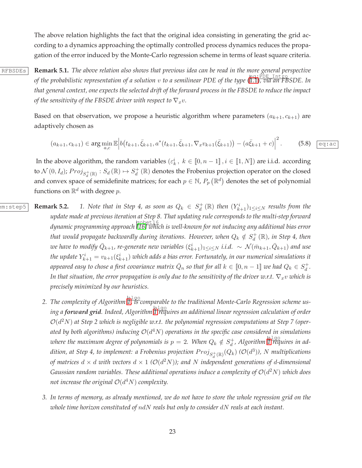The above relation highlights the fact that the original idea consisting in generating the grid according to a dynamics approaching the optimally controlled process dynamics reduces the propagation of the error induced by the Monte-Carlo regression scheme in terms of least square criteria.

RFBSDEs **Remark 5.1.** *The above relation also shows that previous idea can be read in the more general perspective of the probabilistic representation of a solution* v *to a semilinear PDE of the type* ( eq:PDE\_Intro [1.1\)](#page-1-0)*, via an FBSDE. In that general context, one expects the selected drift of the forward process in the FBSDE to reduce the impact of the sensitivity of the FBSDE driver with respect to*  $\nabla_x v$ *.* 

> Based on that observation, we propose a heuristic algorithm where parameters  $(a_{k+1}, c_{k+1})$  are adaptively chosen as

$$
(a_{k+1}, c_{k+1}) \in \arg\min_{a,c} \mathbb{E} \left| b(t_{k+1}, \bar{\xi}_{k+1}, a^*(t_{k+1}, \bar{\xi}_{k+1}, \nabla_x v_{k+1}(\bar{\xi}_{k+1})) - (a\bar{\xi}_{k+1} + c) \right|^2. \tag{5.8}
$$

 $\overline{ac}$ 

In the above algorithm, the random variables  $(\varepsilon_k^i, k \in [0, n-1], i \in [1, N])$  are i.i.d. according to  $\mathcal{N}(0,I_d)$ ;  $Proj_{S_d^+(\mathbb{R})}:S_d(\mathbb{R})\mapsto S_d^+(\mathbb{R})$  denotes the Frobenius projection operator on the closed and convex space of semidefinite matrices; for each  $p \in \mathbb{N}$ ,  $P_p(\mathbb{R}^d)$  denotes the set of polynomial functions on  $\mathbb{R}^d$  with degree  $p.$ 

- $\overline{R_{em:step5}}$  **Remark 5.2.** 1. Note that in Step 4, as soon as  $Q_k \in S_d^+(\mathbb{R})$  then  $(Y_{k+1}^i)_{1 \leq i \leq N}$  results from the *update made at previous iteration at Step 8. That updating rule corresponds to the multi-step forward dynamic programming approach* gobet16 *[\[16\]](#page-31-12) which is well-known for not inducing any additional bias error* that would propagate backwardly during iterations. However, when  $Q_k \notin S_d^+(\mathbb R)$ , in Step 4, then we have to modify  $\bar Q_{k+1}$ , re-generate new variables  $(\xi^i_{k+1})_{1\leq i\leq N}$  i.i.d.  $\sim \ \mathcal{N}(\bar m_{k+1},\bar Q_{k+1})$  and use the update  $Y_{k+1}^i = v_{k+1}(\xi_{k+1}^i)$  which adds a bias error. Fortunately, in our numerical simulations it appeared easy to chose a first covariance matrix  $\bar{Q}_n$  so that for all  $k\in [\![0,n-1]\!]$  we had  $Q_k\in S_d^+ .$ *In that situation, the error propagation is only due to the sensitivity of the driver w.r.t.*  $\nabla_x v$  *which is precisely minimized by our heuristics.*
	- 2. The complexity of Algorithm  $\overline{\hat{\mathfrak{l}}}$  , is comparable to the traditional Monte-Carlo Regression scheme us*ing a forward grid. Indeed, Algorithm* algo *[1](#page-23-0) requires an additional linear regression calculation of order*  $\mathcal{O}(d^2N)$  at Step 2 which is negligible w.r.t. the polynomial regression computations at Step 7 (oper*ated by both algorithms) inducing* O(d <sup>4</sup>N) *operations in the specific case considered in simulations* where the maximum degree of polynomials is  $p = 2$ . When  $Q_k \notin S_d^+$ , Algorithm  $\prod_{i=1}^{\lfloor \frac{n}{2} \rfloor}$  $\prod_{i=1}^{\lfloor \frac{n}{2} \rfloor}$  $\prod_{i=1}^{\lfloor \frac{n}{2} \rfloor}$  *ad* $dition$ , at Step 4, to implement: a Frobenius projection  $Proj_{S_d^+(\mathbb{R})}(Q_k)$   $(\mathcal{O}(d^3))$ ,  $N$  multiplications of matrices  $d \times d$  with vectors  $d \times 1$  ( $\mathcal{O}(d^2N)$ ); and  $N$  independent generations of  $d$ -dimensional Gaussian random variables. These additional operations induce a complexity of  $\mathcal{O}(d^2N)$  which does not increase the original  $\mathcal{O}(d^4N)$  complexity.
	- *3. In terms of memory, as already mentioned, we do not have to store the whole regression grid on the whole time horizon constituted of* ndN *reals but only to consider* dN *reals at each instant.*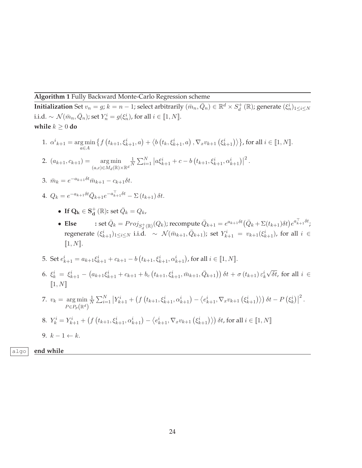**Algorithm 1** Fully Backward Monte-Carlo Regression scheme

**Initialization** Set  $v_n = g$ ;  $k = n - 1$ ; select arbitrarily  $(\bar{m}_n, \bar{Q}_n) \in \mathbb{R}^d \times S_d^+ (\mathbb{R})$ ; generate  $(\xi_n^i)_{1 \leq i \leq N}$ i.i.d.  $\sim \mathcal{N}(\bar{m}_n, \bar{Q}_n)$ ; set  $Y_n^i = g(\xi_n^i)$ , for all  $i \in [\![1, N]\!]$ . **while**  $k \geq 0$  **do** 

1. 
$$
\alpha^i_{k+1} = \underset{a \in A}{\arg \min} \left\{ f\left(t_{k+1}, \xi^i_{k+1}, a\right) + \left\langle b\left(t_k, \xi^i_{k+1}, a\right), \nabla_x v_{k+1}\left(\xi^i_{k+1}\right) \right\rangle \right\}, \text{ for all } i \in \llbracket 1, N \rrbracket.
$$

2. 
$$
(a_{k+1}, c_{k+1}) = \underset{(a,c) \in M_d(\mathbb{R}) \times \mathbb{R}^d}{\arg \min} \frac{1}{N} \sum_{i=1}^N |a \xi_{k+1}^i + c - b(t_{k+1}, \xi_{k+1}^i, \alpha_{k+1}^i)|^2
$$

3. 
$$
\bar{m}_k = e^{-a_{k+1}\delta t} \bar{m}_{k+1} - c_{k+1}\delta t.
$$

4. 
$$
Q_k = e^{-a_{k+1}\delta t} \bar{Q}_{k+1} e^{-a_{k+1}^{\top} \delta t} - \Sigma (t_{k+1}) \delta t.
$$

• If  $\mathbf{Q}_k \in \mathbf{S_d^+}(\mathbb{R})$ : set  $\bar{Q}_k = Q_k$ ,

• Else  $:$  set  $\bar{Q}_k = Proj_{S_d^+(\mathbb{R})}(Q_k)$ ; recompute  $\bar{Q}_{k+1} = e^{a_{k+1}\delta t}(\bar{Q}_k + \Sigma(t_{k+1})\delta t)e^{a_{k+1}^\top \delta t}$ ; regenerate  $(\xi_{k+1}^i)_{1\leq i\leq N}$  i.i.d.  $\sim \mathcal{N}(\bar{m}_{k+1}, \bar{Q}_{k+1})$ ; set  $Y_{k+1}^i = v_{k+1}(\xi_{k+1}^i)$ , for all  $i \in$  $[1, N].$ 

.

- 5. Set  $e_{k+1}^i = a_{k+1}\xi_{k+1}^i + c_{k+1} b(t_{k+1}, \xi_{k+1}^i, \alpha_{k+1}^i)$ , for all  $i \in [1, N]$ .
- 6.  $\xi_k^i = \xi_{k+1}^i (a_{k+1}\xi_{k+1}^i + c_{k+1} + b_c(t_{k+1}, \xi_{k+1}^i, \bar{m}_{k+1}, \bar{Q}_{k+1})) \delta t + \sigma(t_{k+1}) \varepsilon_k^i$  $\sqrt{\delta t}$ , for all  $i \in$  $\llbracket 1, N \rrbracket$
- 7.  $v_k = \arg \min$  $P \in P_p(\mathbb{R}^d)$  $\frac{1}{N}\sum_{i=1}^{N} |Y_{k+1}^{i} + (f(t_{k+1},\xi_{k+1}^{i},\alpha_{k+1}^{i}) - \langle e_{k+1}^{i},\nabla_x v_{k+1}(\xi_{k+1}^{i}) \rangle) \delta t - P(\xi_{k}^{i})|^2$ .

<span id="page-23-0"></span>8. 
$$
Y_k^i = Y_{k+1}^i + (f(t_{k+1}, \xi_{k+1}^i, \alpha_{k+1}^i) - \langle e_{k+1}^i, \nabla_x v_{k+1} (\xi_{k+1}^i) \rangle) \delta t
$$
, for all  $i \in [1, N]$ 

$$
9. \ k-1 \leftarrow k.
$$

algo **end while**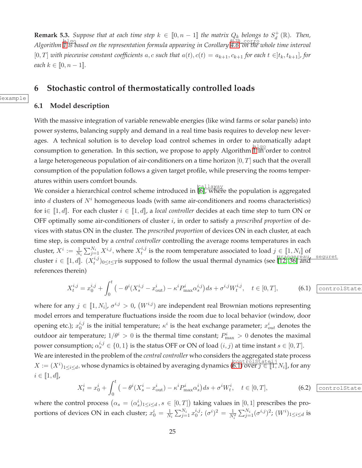**Remark 5.3.** Suppose that at each time step  $k \in [0, n-1]$  the matrix  $Q_k$  belongs to  $S_d^+(\mathbb{R})$ . Then, *Algorithm*  $\frac{|a\log q|}{1}$  $\frac{|a\log q|}{1}$  $\frac{|a\log q|}{1}$  *is based on the representation formula appearing in Corollary* [4.6,](#page-19-0) on the whole time interval [0, T] *with piecewise constant coefficients*  $a, c$  *such that*  $a(t), c(t) = a_{k+1}, c_{k+1}$  *for each*  $t \in ]t_k, t_{k+1}]$ *, for each*  $k \in [0, n-1]$ *.* 

# <span id="page-24-0"></span>**6 Stochastic control of thermostatically controlled loads**

### **6.1 Model description**

Sexample

With the massive integration of variable renewable energies (like wind farms or solar panels) into power systems, balancing supply and demand in a real time basis requires to develop new leverages. A technical solution is to develop load control schemes in order to automatically adapt consumption to generation. In this section, we propose to apply Algorithm  $\frac{a_1 a_0}{1 \text{ in order}}$  $\frac{a_1 a_0}{1 \text{ in order}}$  $\frac{a_1 a_0}{1 \text{ in order}}$  to control a large heterogeneous population of air-conditioners on a time horizon  $[0, T]$  such that the overall consumption of the population follows a given target profile, while preserving the rooms temperatures within users comfort bounds.

We consider a hierarchical control scheme introduced in [\[6\]](#page-30-12), where the population is aggregated into  $d$  clusters of  $N<sup>i</sup>$  homogeneous loads (with same air-conditioners and rooms characteristics) for i $\in$  [1, *d*]. For each cluster  $i \in$  [1, *d*], a *local controller* decides at each time step to turn ON or OFF optimally some air-conditioners of cluster i, in order to satisfy a *prescribed proportion* of devices with status ON in the cluster. The *prescribed proportion* of devices ON in each cluster, at each time step, is computed by a *central controller* controlling the average rooms temperatures in each cluster,  $X^i := \frac{1}{N_i} \sum_{j=1}^{N_i} X^{i,j},$  where  $X_t^{i,j}$ <sup>*t,j*</sup> is the room temperature associated to load  $j \in [\![1,N_i]\!]$  of cluster  $i \in [1, d]$ .  $(X_t^{i,j})$  $\int_{t}^{t}$ ,  $j_{0 \leq t \leq T}$  is supposed to follow the usual thermal dynamics (see  $\left[\overline{12}, \overline{36}\right]$  and references therein)

<span id="page-24-1"></span>
$$
X_t^{i,j} = x_0^{i,j} + \int_0^t \left( -\theta^i (X_s^{i,j} - x_{\text{out}}^i) - \kappa^i P_{\text{max}}^i \alpha_s^{i,j} \right) ds + \sigma^{i,j} W_t^{i,j}, \quad t \in [0, T], \tag{6.1}
$$

where for any  $j \in [1, N_i]$ ,  $\sigma^{i,j} > 0$ ,  $(W^{i,j})$  are independent real Brownian motions representing model errors and temperature fluctuations inside the room due to local behavior (window, door opening etc.);  $x_0^{i,j}$  $i,j$  is the initial temperature;  $\kappa^i$  is the heat exchange parameter;  $x_{out}^i$  denotes the outdoor air temperature;  $1/\theta^i > 0$  is the thermal time constant;  $P^i_{\text{max}} > 0$  denotes the maximal power consumption;  $\alpha_s^{i,j} \in \{0,1\}$  is the status OFF or ON of load  $(i, j)$  at time instant  $s \in [0, T]$ . We are interested in the problem of the *central controller* who considers the aggregated state process  $X := (X^i)_{1 \leq i \leq d}$ , whose dynamics is obtained by averaging dynamics ([6.1\)](#page-24-1) over  $j \in [1, N_i]$ , for any  $i \in [\![1, d]\!]$ ,

<span id="page-24-2"></span>
$$
X_t^i = x_0^i + \int_0^t \left( -\theta^i (X_s^i - x_{\text{out}}^i) - \kappa^i P_{\text{max}}^i \alpha_s^i \right) ds + \sigma^i W_t^i, \quad t \in [0, T], \tag{6.2}
$$

where the control process  $(\alpha_s = (\alpha_s^i)_{1 \leq i \leq d}, s \in [0,T])$  taking values in  $[0,1]$  prescribes the proportions of devices ON in each cluster;  $x_0^i = \frac{1}{N_i} \sum_{j=1}^{N_i} x_0^{i,j}$  $_{0}^{i,j};$   $(\sigma^{i})^{2}=\frac{1}{N_{i}^{2}}\sum_{j=1}^{N_{i}}(\sigma^{i,j})^{2};$   $(W^{i})_{1\leq i\leq d}$  is

#### controlState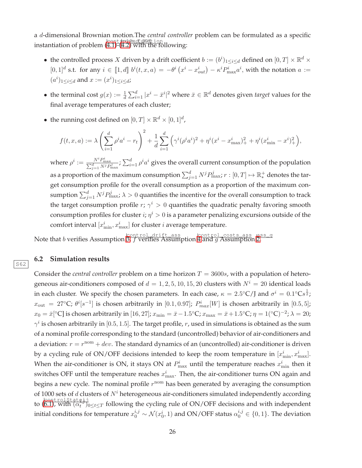a d-dimensional Brownian motion.The *central controller* problem can be formulated as a specific instantiation of problem ([4.1\)](#page-15-2)-([4.2\)](#page-16-4) with the following:

- the controlled process X driven by a drift coefficient  $b := (b^i)_{1 \leq i \leq d}$  defined on  $[0, T] \times \mathbb{R}^d \times$  $[0,1]^d$  s.t. for any  $i \in [1,d]$   $b^i(t,x,a) = -\theta^i(x^i - x^i_{out}) - \kappa^i P^i_{max} a^i$ , with the notation  $a :=$  $(a^i)_{1 \leq i \leq d}$  and  $x := (x^i)_{1 \leq i \leq d}$ ;
- the terminal cost  $g(x) := \frac{1}{d} \sum_{i=1}^d |x^i \bar{x}^i|^2$  where  $\bar{x} \in \mathbb{R}^d$  denotes given *target* values for the final average temperatures of each cluster;
- the running cost defined on  $[0, T] \times \mathbb{R}^d \times [0, 1]^d$ ,

$$
f(t, x, a) := \lambda \left( \sum_{i=1}^{d} \rho^{i} a^{i} - r_{t} \right)^{2} + \frac{1}{d} \sum_{i=1}^{d} \left( \gamma^{i} (\rho^{i} a^{i})^{2} + \eta^{i} (x^{i} - x^{i}_{\max})_{+}^{2} + \eta^{i} (x^{i}_{\min} - x^{i})_{+}^{2} \right),
$$

where  $\rho^i := \frac{N^i P_{\max}^i}{\sum_{j=1}^d N^j P_{\max}^j}$ ;  $\sum_{i=1}^d \rho^i a^i$  gives the overall current consumption of the population as a proportion of the maximum consumption  $\sum_{j=1}^d N^jP_{\max}^j; r:[0,T]\mapsto \mathbb{R}^+_*$  denotes the target consumption profile for the overall consumption as a proportion of the maximum consumption  $\sum_{j=1}^d N^j P_{\text{max}}^j$ ;  $\lambda > 0$  quantifies the incentive for the overall consumption to track the target consumption profile  $r$ ;  $\gamma^i > 0$  quantifies the quadratic penalty favoring smooth consumption profiles for cluster  $i$ ;  $\eta^i > 0$  is a parameter penalizing excursions outside of the comfort interval  $[x^i_{\text{min}}, x^i_{\text{max}}]$  for cluster *i* average temperature.

Note that b verifies Assumption [3,](#page-15-1) f verifies Assumption [4](#page-16-0) and g Assumption [2.](#page-7-3)

### **6.2 Simulation results**

S62

Consider the *central controller* problem on a time horizon  $T = 3600s$ , with a population of heterogeneous air-conditioners composed of  $d = 1, 2, 5, 10, 15, 20$  clusters with  $N^i = 20$  identical loads in each cluster. We specify the chosen parameters. In each case,  $\kappa = 2.5^{\circ}$ C/J and  $\sigma^{i} = 0.1^{\circ}$ Cs $^{1\over 2}$ ;  $x_{\rm out}$  = 27°C;  $\theta^i[s^{-1}]$  is chosen arbitrarily in [0.1,0.97];  $P^i_{max}[W]$  is chosen arbitrarily in [0.5,5];  $x_0 = \bar{x}[^{\circ} \mathbb{C}]$  is chosen arbitrarily in  $[16, 27]$ ;  $x_{\min} = \bar{x} - 1.5^{\circ} \mathbb{C}$ ;  $x_{\max} = \bar{x} + 1.5^{\circ} \mathbb{C}$ ;  $\eta = 1(^{\circ} \mathbb{C})^{-2}$ ;  $\lambda = 20$ ;  $\gamma^i$  is chosen arbitrarily in  $[0.5, 1.5]$ . The target profile, r, used in simulations is obtained as the sum of a nominal profile corresponding to the standard (uncontrolled) behavior of air-conditioners and a deviation:  $r = r^{\text{nom}} + dev$ . The standard dynamics of an (uncontrolled) air-conditioner is driven by a cycling rule of ON/OFF decisions intended to keep the room temperature in  $[x_{\min}^i, x_{\max}^i]$ . When the air-conditioner is ON, it stays ON at  $P_{\text{max}}^i$  until the temperature reaches  $x_{\text{min}}^i$  then it switches OFF until the temperature reaches  $x_{\text{max}}^i$ . Then, the air-conditioner turns ON again and begins a new cycle. The nominal profile  $r^{\text{nom}}$  has been generated by averaging the consumption of 1000 sets of  $d$  clusters of  $N<sup>i</sup>$  heterogeneous air-conditioners simulated independently according to  $\frac{|\text{controlState}\ddagger j|}{(6.1)}$  $\frac{|\text{controlState}\ddagger j|}{(6.1)}$  $\frac{|\text{controlState}\ddagger j|}{(6.1)}$ , with  $(\alpha_t^{ij})_0$  $\overline{t_t^*}$ )<sup> $\overline{t}$ </sup> $\leq$  following the cycling rule of ON/OFF decisions and with independent initial conditions for temperature  $x_0^{i,j} \sim \mathcal{N}(x_0^i,1)$  and ON/OFF status  $\alpha_0^{i,j} \in \{0,1\}$ . The deviation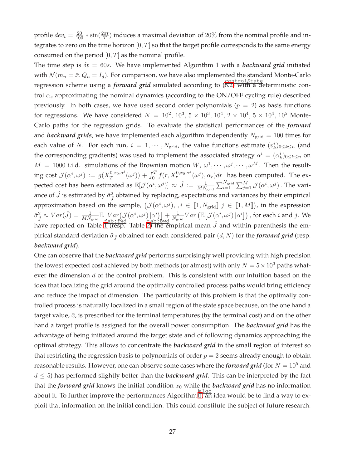profile  $dev_t = \frac{20}{100} * \sin(\frac{2\pi t}{T})$  induces a maximal deviation of 20% from the nominal profile and integrates to zero on the time horizon  $[0, T]$  so that the target profile corresponds to the same energy consumed on the period  $[0, T]$  as the nominal profile.

The time step is  $\delta t = 60s$ . We have implemented Algorithm 1 with a *backward grid* initiated with  $\mathcal{N}(m_n = \bar{x}, Q_n = I_d)$ . For comparison, we have also implemented the standard Monte-Carlo regression scheme using a *forward grid* simulated according to ([6.2\)](#page-24-2) with a deterministic control  $\alpha_s$  approximating the nominal dynamics (according to the ON/OFF cycling rule) described previously. In both cases, we have used second order polynomials ( $p = 2$ ) as basis functions for regressions. We have considered  $N = 10^2, 10^3, 5 \times 10^3, 10^4, 2 \times 10^4, 5 \times 10^4, 10^5$  Monte-Carlo paths for the regression grids. To evaluate the statistical performances of the *forward* and *backward grids*, we have implemented each algorithm independently  $N_{grid} = 100$  times for each value of N. For each run,  $i = 1, \cdots, N_{\text{grid}}$ , the value functions estimate  $(v_k^i)_{0 \leq k \leq n}$  (and the corresponding gradients) was used to implement the associated strategy  $\alpha^i = (\alpha^i_k)_{0 \leq k \leq n}$  on  $M = 1000$  i.i.d. simulations of the Brownian motion  $W, \omega^1, \dots, \omega^j, \dots, \omega^M$ . Then the resulting cost  $\mathcal{J}(\alpha^i, \omega^j) := g(X_T^{0,x_0,\alpha^i}(\omega^j)) + \int_0^T f(r, X_r^{0,x_0,\alpha^i}(\omega^j), \alpha_r) dr$  has been computed. The ex- $T$  ( $\omega$  ) +  $J_0$ pected cost has been estimated as  $\mathbb{E}[\mathcal{J}(\alpha^i, \omega^j)] \approx \hat{J} := \frac{1}{MN_{\rm grid}} \sum_{i=1}^{N_{\rm grid}} \sum_{j=1}^{M} \mathcal{J}(\alpha^i, \omega^j)$ . The variance of  $\hat{J}$  is estimated by  $\hat{\sigma}_{\hat{J}}^2$  obtained by replacing, expectations and variances by their empirical approximation based on the sample,  $(\mathcal{J}(\alpha^i, \omega^j), i \in [1, N_{\text{grid}}]) j \in [1, M])$ , in the expression  $\hat{\sigma}_{j}^{2} \approx Var(\hat{J}) = \frac{1}{MN_{\text{grid}}} \mathbb{E} \left[ Var \left( \mathcal{J}(\alpha^{i}, \omega^{j}) \vert \alpha^{i} \right) \right] + \frac{1}{N_{\text{grid}}} Var \left( \mathbb{E} \left[ \mathcal{J}(\alpha^{i}, \omega^{j}) \vert \alpha^{i} \right] \right)$ , for each i and j. We have reported on Table  $\lim_{\epsilon \to 0} \frac{\log_{10}(1 - \epsilon)}{\epsilon}$  $\lim_{\epsilon \to 0} \frac{\log_{10}(1 - \epsilon)}{\epsilon}$  $\lim_{\epsilon \to 0} \frac{\log_{10}(1 - \epsilon)}{\epsilon}$  and  $\epsilon$  and within parenthesis the empirical standard deviation  $\hat{\sigma}_j$  obtained for each considered pair  $(d, N)$  for the *forward grid* (resp. *backward grid*).

One can observe that the *backward grid* performs surprisingly well providing with high precision the lowest expected cost achieved by both methods (or almost) with only  $N = 5 \times 10^3$  paths whatever the dimension  $d$  of the control problem. This is consistent with our intuition based on the idea that localizing the grid around the optimally controlled process paths would bring efficiency and reduce the impact of dimension. The particularity of this problem is that the optimally controlled process is naturally localized in a small region of the state space because, on the one hand a target value,  $\bar{x}$ , is prescribed for the terminal temperatures (by the terminal cost) and on the other hand a target profile is assigned for the overall power consumption. The *backward grid* has the advantage of being initiated around the target state and of following dynamics approaching the optimal strategy. This allows to concentrate the *backward grid* in the small region of interest so that restricting the regression basis to polynomials of order  $p = 2$  seems already enough to obtain reasonable results. However, one can observe some cases where the *forward grid* (for  $N = 10^5$  and  $d \leq 5$ ) has performed slightly better than the *backward grid*. This can be interpreted by the fact that the *forward grid* knows the initial condition  $x_0$  while the *backward grid* has no information about it. To further improve the performances Algorithm  $\frac{a \cdot 1 g_0}{1}$ , an idea would be to find a way to exploit that information on the initial condition. This could constitute the subject of future research.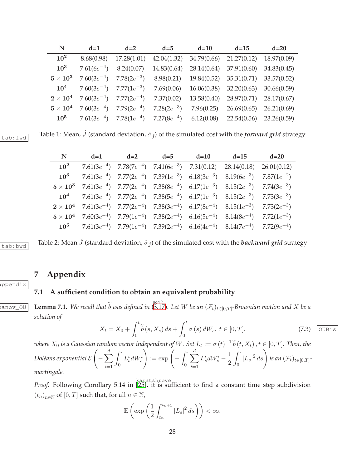<span id="page-27-1"></span>

| N               | $d=1$           | $d=2$                                                                   | $d=5$           | $d=10$      | $d=15$      | $d=20$      |
|-----------------|-----------------|-------------------------------------------------------------------------|-----------------|-------------|-------------|-------------|
| 10 <sup>2</sup> | 8.68(0.98)      | 17.28(1.01)                                                             | 42.04(1.32)     | 34.79(0.66) | 21.27(0.12) | 18.97(0.09) |
| $10^3$          | $7.61(6e^{-4})$ | 8.24(0.07)                                                              | 14.83(0.64)     | 28.14(0.64) | 37.91(0.60) | 34.83(0.45) |
| $5\times10^3$   | $7.60(3e^{-4})$ | $7.78(2e^{-3})$                                                         | 8.98(0.21)      | 19.84(0.52) | 35.31(0.71) | 33.57(0.52) |
| $10^4$          |                 | 7.60(3 $e^{-4}$ ) 7.77(1 $e^{-3}$ )                                     | 7.69(0.06)      | 16.06(0.38) | 32.20(0.63) | 30.66(0.59) |
| $2\times10^4$   |                 | 7.60(3 $e^{-4}$ ) 7.77(2 $e^{-4}$ )                                     | 7.37(0.02)      | 13.58(0.40) | 28.97(0.71) | 28.17(0.67) |
| $5\times10^4$   | $7.60(3e^{-4})$ | $7.79(2e^{-4})$                                                         | $7.28(2e^{-3})$ | 7.96(0.25)  | 26.69(0.65) | 26.21(0.69) |
| $10^5$          |                 | 7.61(3e <sup>-4</sup> ) 7.78(1e <sup>-4</sup> ) 7.27(8e <sup>-4</sup> ) |                 | 6.12(0.08)  | 22.54(0.56) | 23.26(0.59) |

 $\frac{1}{\text{tab:full}}$  Table 1: Mean,  $\hat{J}$  (standard deviation,  $\hat{\sigma}_j$ ) of the simulated cost with the *forward grid* strategy

<span id="page-27-2"></span>

| N               | $d=1$ | $d=2$ | $d=5$ | $d=10$ $d=15$ |                                                                                                                                                                 | $d=20$ |
|-----------------|-------|-------|-------|---------------|-----------------------------------------------------------------------------------------------------------------------------------------------------------------|--------|
| 10 <sup>2</sup> |       |       |       |               | 7.61(3e <sup>-4</sup> ) 7.78(7e <sup>-4</sup> ) 7.41(6e <sup>-3</sup> ) 7.31(0.12) 28.14(0.18) 26.01(0.12)                                                      |        |
| 10 <sup>3</sup> |       |       |       |               | 7.61(3e <sup>-4</sup> ) 7.77(2e <sup>-4</sup> ) 7.39(1e <sup>-3</sup> ) 6.18(3e <sup>-3</sup> ) 8.19(6e <sup>-3</sup> ) 7.87(1e <sup>-2</sup> )                 |        |
|                 |       |       |       |               | $5 \times 10^3$ 7.61(3e <sup>-4</sup> ) 7.77(2e <sup>-4</sup> ) 7.38(8e <sup>-4</sup> ) 6.17(1e <sup>-3</sup> ) 8.15(2e <sup>-3</sup> ) 7.74(3e <sup>-3</sup> ) |        |
|                 |       |       |       |               | 10 <sup>4</sup> 7.61(3e <sup>-4</sup> ) 7.77(2e <sup>-4</sup> ) 7.38(5e <sup>-4</sup> ) 6.17(1e <sup>-3</sup> ) 8.15(2e <sup>-3</sup> ) 7.73(3e <sup>-3</sup> ) |        |
|                 |       |       |       |               | $2 \times 10^4$ 7.61(3e <sup>-4</sup> ) 7.77(2e <sup>-4</sup> ) 7.38(3e <sup>-4</sup> ) 6.17(8e <sup>-4</sup> ) 8.15(1e <sup>-3</sup> ) 7.73(2e <sup>-3</sup> ) |        |
|                 |       |       |       |               | $5 \times 10^4$ 7.60(3e <sup>-4</sup> ) 7.79(1e <sup>-4</sup> ) 7.38(2e <sup>-4</sup> ) 6.16(5e <sup>-4</sup> ) 8.14(8e <sup>-4</sup> ) 7.72(1e <sup>-3</sup> ) |        |
|                 |       |       |       |               | $10^5$ 7.61(3e <sup>-4</sup> ) 7.79(1e <sup>-4</sup> ) 7.39(2e <sup>-4</sup> ) 6.16(4e <sup>-4</sup> ) 8.14(7e <sup>-4</sup> ) 7.72(9e <sup>-4</sup> )          |        |

 $\frac{1}{\text{tab:bwd}}$  Table 2: Mean  $\hat{J}$  (standard deviation,  $\hat{\sigma}_{\hat{J}}$ ) of the simulated cost with the *backward grid* strategy

# **7 Appendix**

### <span id="page-27-0"></span>**7.1 A sufficient condition to obtain an equivalent probability**

 $\overline{\text{Gauss}}$  **Lemma 7.1.** We recall that  $\widetilde{b}$  was defined in  $\overline{\text{G.17}}$ . Let W be an  $(\mathcal{F}_t)_{t \in [0,T]}$ -Brownian motion and X be a *solution of*

$$
X_t = X_0 + \int_0^t \widetilde{b}(s, X_s) ds + \int_0^t \sigma(s) dW_s, \ t \in [0, T], \tag{7.3}
$$

 $w$ here  $X_0$  is a Gaussian random vector independent of  $W.$  Set  $L_t:=\sigma\left(t\right)^{-1} \widetilde{b}\left(t,X_t\right), t\in [0,T].$  Then, the *Doléans exponential* E  $\sqrt{ }$  $-\sum^d$  $i=1$  $\int$ 0  $L_s^i dW_s^i$  $\Bigg):=\exp\Bigg( \int$  $\theta$  $\stackrel{d}{\blacktriangle}$  $i=1$  $L_s^i dW_s^i$  – 1 2  $\int$  $\int_0^1 |L_s|^2 ds \, ds \, ds \, \int \int_0^1 t \, dt \, d\mathcal{F}_t \, d\mathcal{F}_t \, d\mathcal{F}_t \, d\mathcal{F}_t$ *martingale.*

*Proof.* Following Corollary 5.14 in [\[25\]](#page-31-3), it is sufficient to find a constant time step subdivision  $(t_n)_{n \in \mathbb{N}}$  of  $[0, T]$  such that, for all  $n \in \mathbb{N}$ ,

$$
\mathbb{E}\left(\exp\left(\frac{1}{2}\int_{t_n}^{t_{n+1}} |L_s|^2 ds\right)\right) < \infty.
$$

28

appendix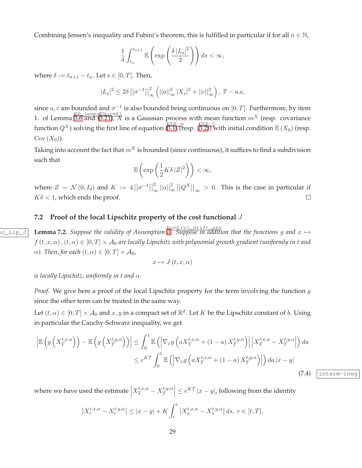Combining Jensen's inequality and Fubini's theorem, this is fulfilled in particular if for all  $n \in \mathbb{N}$ ,

$$
\frac{1}{\delta} \int_{t_n}^{t_{n+1}} \mathbb{E}\left(\exp\left(\frac{\delta |L_s|^2}{2}\right)\right) ds < \infty,
$$

where  $\delta := t_{n+1} - t_n$ . Let  $s \in [0, T]$ . Then,

$$
|L_s|^2 \le 2\delta ||\sigma^{-1}||_{\infty}^2 (||a||_{\infty}^2 |X_s|^2 + ||c||_{\infty}^2), \ \mathbb{P}-\text{a.s},
$$

since  $a, c$  are bounded and  $\sigma^{-1}$  is also bounded being continuous on  $[0, T]$ . Furthermore, by item 1. of Lemma  $\frac{HP\text{ } }{3.6 \text{ and } (3.21), X}$  $\frac{HP\text{ } }{3.6 \text{ and } (3.21), X}$  $\frac{HP\text{ } }{3.6 \text{ and } (3.21), X}$  is a Gaussian process with mean function  $m^X$  (resp. covariance function  $Q^X$ ) solving the first line of equation  $\overline{(0.1)$  (resp.  $\overline{(0.2))}$  with initial condition  $\mathbb{E}(X_0)$  (resp.  $Cov(X_0)$ ).

Taking into account the fact that  $m<sup>X</sup>$  is bounded (since continuous), it suffices to find a subdivision such that

$$
\mathbb{E}\left(\exp\left(\frac{1}{2}K\delta\left|Z\right|^2\right)\right)<\infty,
$$

where  $Z \sim \mathcal{N}(0, I_d)$  and  $K := 4 ||\sigma^{-1}||_0^2$  $\int_{\infty}^2 ||a||^2_{\infty}\, ||Q^X||_{\infty} \,>\, 0.$  This is the case in particular if  $K\delta$  < 1, which ends the proof.  $\Box$ 

### <span id="page-28-0"></span>**7.2 Proof of the local Lipschitz property of the cost functional** J

 $\frac{\text{SOLUTION}}{\text{Solution}}$  **Lemma 7.2.** Suppose the validity of Assumption  $\frac{\text{Solution}}{\text{S. Suppose in addition that the functions } g \text{ and } x \mapsto 0$  $f(t, x, \alpha)$ ,  $(t, \alpha) \in [0, T] \times A_0$  *are locally Lipschitz with polynomial growth gradient (uniformly in t and*  $\alpha$ *). Then, for each*  $(t, \alpha) \in [0, T] \times \mathcal{A}_0$ ,

$$
x \mapsto J\left(t, x, \alpha\right)
$$

*is locally Lipschitz, uniformly in* t *and* α*.*

*Proof.* We give here a proof of the local Lipschitz property for the term involving the function g since the other term can be treated in the same way.

Let  $(t, \alpha) \in [0, T] \times A_0$  and  $x, y$  in a compact set of  $\mathbb{R}^d$ . Let K be the Lipschitz constant of b. Using in particular the Cauchy-Schwarz inequality, we get

$$
\left| \mathbb{E} \left( g \left( X_T^{t,x,\alpha} \right) \right) - \mathbb{E} \left( g \left( X_T^{t,y,\alpha} \right) \right) \right| \leq \int_0^1 \mathbb{E} \left( \left| \nabla_x g \left( a X_T^{t,x,\alpha} + (1-a) X_T^{t,y,\alpha} \right) \right| \left| X_T^{t,x,\alpha} - X_T^{t,y,\alpha} \right| \right) da
$$
  

$$
\leq e^{KT} \int_0^1 \mathbb{E} \left( \left| \nabla_x g \left( a X_T^{t,x,\alpha} + (1-a) X_T^{t,y,\alpha} \right) \right| \right) da \left| x - y \right|
$$
(7.4)

where we have used the estimate  $\Big| X_T^{t,x,\alpha} - X_T^{t,y,\alpha} \Big|$ T  $\left| \leq e^{KT} |x-y|$ , following from the identity

$$
\left|X_r^{t,x,\alpha} - X_r^{t,y,\alpha}\right| \le |x - y| + K \int_t^r \left|X_s^{t,x,\alpha} - X_s^{t,y,\alpha}\right| ds, \ r \in [t,T],
$$

<span id="page-28-1"></span>interm-ineg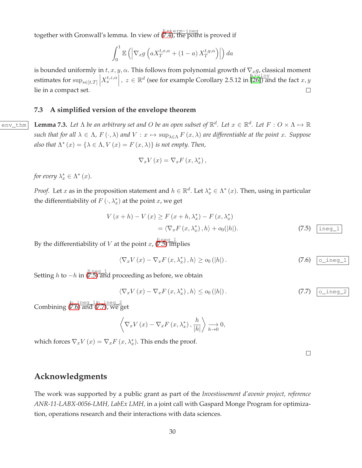together with Gronwall's lemma. In view of ([7.4\)](#page-28-1), the point is proved if

$$
\int_0^1 \mathbb{E}\left( \left| \nabla_x g\left( a X_T^{t,x,\alpha} + (1-a) X_T^{t,y,\alpha} \right) \right| \right) da
$$

is bounded uniformly in  $t, x, y, \alpha$ . This follows from polynomial growth of  $\nabla_x g$ , classical moment estimates for  $\sup_{s\in[t,T]} \left| X_s^{t,z,\alpha} \right|$ ,  $z\in \mathbb{R}^d$  (see for example Corollary 2.5.12 in [\[26\]](#page-31-10)) and the fact  $x, y$ lie in a compact set.  $\Box$ 

#### <span id="page-29-0"></span>**7.3 A simplified version of the envelope theorem**

 $\overline{P_{\text{env\_thm}}}$  **Lemma 7.3.** Let  $\Lambda$  be an arbitrary set and O be an open subset of  $\mathbb{R}^d$ . Let  $x \in \mathbb{R}^d$ . Let  $F: O \times \Lambda \mapsto \mathbb{R}^d$ *such that for all*  $\lambda \in \Lambda$ ,  $F(\cdot, \lambda)$  *and*  $V: x \mapsto \sup_{\lambda \in \Lambda} F(x, \lambda)$  *are differentiable at the point* x. Suppose also that  $\Lambda^*(x) = {\lambda \in \Lambda, V(x) = F(x, \lambda)}$  *is not empty. Then,* 

$$
\nabla_x V(x) = \nabla_x F(x, \lambda_x^*),
$$

for every  $\lambda_x^* \in \Lambda^*(x)$ .

*Proof.* Let x as in the proposition statement and  $h \in \mathbb{R}^d$ . Let  $\lambda_x^* \in \Lambda^*(x)$ . Then, using in particular the differentiability of  $F(\cdot, \lambda_x^*)$  at the point  $x$ , we get

$$
V(x+h) - V(x) \ge F(x+h, \lambda_x^*) - F(x, \lambda_x^*)
$$
  
=  $\langle \nabla_x F(x, \lambda_x^*), h \rangle + o_0(|h|).$  (7.5)  $\boxed{\text{ineg\_1}}$ 

By the differentiability of V at the point x,  $(\overline{7.5})$  implies

<span id="page-29-2"></span>
$$
\langle \nabla_x V(x) - \nabla_x F(x, \lambda_x^*), h \rangle \ge o_0(|h|).
$$
 (7.6)  $\boxed{\text{o\_ineg\_1}}$ 

Setting  $h$  to  $-h$  in  $\frac{|\text{ineg}-1|}{|\text{7.5}|}$  and proceeding as before, we obtain

<span id="page-29-3"></span>
$$
\langle \nabla_x V(x) - \nabla_x F(x, \lambda_x^*), h \rangle \le o_0(|h|).
$$
 (7.7)  $\boxed{\text{o\_ineg\_2}}$ 

Combining  $(7.6)$  $(7.6)$  and  $(7.7)$  $(7.7)$ , we get

$$
\left\langle \nabla_x V(x) - \nabla_x F(x, \lambda_x^*), \frac{h}{|h|} \right\rangle \underset{h \to 0}{\longrightarrow} 0,
$$

which forces  $\nabla_x V(x) = \nabla_x F(x, \lambda_x^*)$ . This ends the proof.

<span id="page-29-1"></span> $\Box$ 

# **Acknowledgments**

The work was supported by a public grant as part of the *Investissement d'avenir project, reference ANR-11-LABX-0056-LMH, LabEx LMH,* in a joint call with Gaspard Monge Program for optimization, operations research and their interactions with data sciences.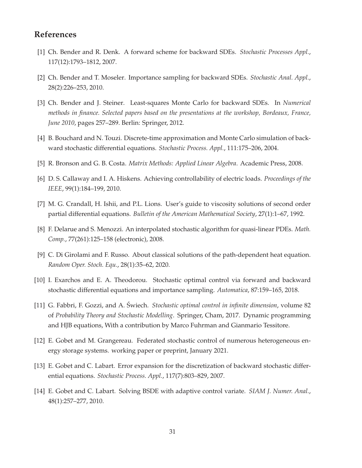# <span id="page-30-4"></span>**References**

- <span id="page-30-6"></span>[1] Ch. Bender and R. Denk. A forward scheme for backward SDEs. *Stochastic Processes Appl.*, 117(12):1793–1812, 2007.
- <span id="page-30-1"></span>[2] Ch. Bender and T. Moseler. Importance sampling for backward SDEs. *Stochastic Anal. Appl.*, 28(2):226–253, 2010.
- [3] Ch. Bender and J. Steiner. Least-squares Monte Carlo for backward SDEs. In *Numerical methods in finance. Selected papers based on the presentations at the workshop, Bordeaux, France, June 2010*, pages 257–289. Berlin: Springer, 2012.
- <span id="page-30-8"></span><span id="page-30-2"></span>[4] B. Bouchard and N. Touzi. Discrete-time approximation and Monte Carlo simulation of backward stochastic differential equations. *Stochastic Process. Appl.*, 111:175–206, 2004.
- <span id="page-30-12"></span>[5] R. Bronson and G. B. Costa. *Matrix Methods: Applied Linear Algebra*. Academic Press, 2008.
- <span id="page-30-10"></span>[6] D. S. Callaway and I. A. Hiskens. Achieving controllability of electric loads. *Proceedings of the IEEE*, 99(1):184–199, 2010.
- <span id="page-30-3"></span>[7] M. G. Crandall, H. Ishii, and P.L. Lions. User's guide to viscosity solutions of second order partial differential equations. *Bulletin of the American Mathematical Society*, 27(1):1–67, 1992.
- <span id="page-30-9"></span>[8] F. Delarue and S. Menozzi. An interpolated stochastic algorithm for quasi-linear PDEs. *Math. Comp.*, 77(261):125–158 (electronic), 2008.
- <span id="page-30-7"></span>[9] C. Di Girolami and F. Russo. About classical solutions of the path-dependent heat equation. *Random Oper. Stoch. Equ.*, 28(1):35–62, 2020.
- <span id="page-30-11"></span>[10] I. Exarchos and E. A. Theodorou. Stochastic optimal control via forward and backward stochastic differential equations and importance sampling. *Automatica*, 87:159–165, 2018.
- [11] G. Fabbri, F. Gozzi, and A. Swiech. ´ *Stochastic optimal control in infinite dimension*, volume 82 of *Probability Theory and Stochastic Modelling*. Springer, Cham, 2017. Dynamic programming and HJB equations, With a contribution by Marco Fuhrman and Gianmario Tessitore.
- <span id="page-30-13"></span><span id="page-30-0"></span>[12] E. Gobet and M. Grangereau. Federated stochastic control of numerous heterogeneous energy storage systems. working paper or preprint, January 2021.
- <span id="page-30-5"></span>[13] E. Gobet and C. Labart. Error expansion for the discretization of backward stochastic differential equations. *Stochastic Process. Appl.*, 117(7):803–829, 2007.
- [14] E. Gobet and C. Labart. Solving BSDE with adaptive control variate. *SIAM J. Numer. Anal.*, 48(1):257–277, 2010.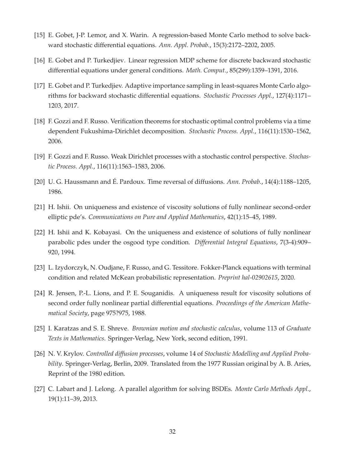- <span id="page-31-12"></span><span id="page-31-0"></span>[15] E. Gobet, J-P. Lemor, and X. Warin. A regression-based Monte Carlo method to solve backward stochastic differential equations. *Ann. Appl. Probab.*, 15(3):2172–2202, 2005.
- <span id="page-31-2"></span>[16] E. Gobet and P. Turkedjiev. Linear regression MDP scheme for discrete backward stochastic differential equations under general conditions. *Math. Comput.*, 85(299):1359–1391, 2016.
- [17] E. Gobet and P. Turkedjiev. Adaptive importance sampling in least-squares Monte Carlo algorithms for backward stochastic differential equations. *Stochastic Processes Appl.*, 127(4):1171– 1203, 2017.
- <span id="page-31-11"></span>[18] F. Gozzi and F. Russo. Verification theorems for stochastic optimal control problems via a time dependent Fukushima-Dirichlet decomposition. *Stochastic Process. Appl.*, 116(11):1530–1562, 2006.
- <span id="page-31-9"></span><span id="page-31-4"></span>[19] F. Gozzi and F. Russo. Weak Dirichlet processes with a stochastic control perspective. *Stochastic Process. Appl.*, 116(11):1563–1583, 2006.
- <span id="page-31-8"></span>[20] U. G. Haussmann and É. Pardoux. Time reversal of diffusions. *Ann. Probab.*, 14(4):1188–1205, 1986.
- <span id="page-31-7"></span>[21] H. Ishii. On uniqueness and existence of viscosity solutions of fully nonlinear second-order elliptic pde's. *Communications on Pure and Applied Mathematics*, 42(1):15–45, 1989.
- [22] H. Ishii and K. Kobayasi. On the uniqueness and existence of solutions of fully nonlinear parabolic pdes under the osgood type condition. *Differential Integral Equations*, 7(3-4):909– 920, 1994.
- <span id="page-31-6"></span><span id="page-31-5"></span>[23] L. Izydorczyk, N. Oudjane, F. Russo, and G. Tessitore. Fokker-Planck equations with terminal condition and related McKean probabilistic representation. *Preprint hal-02902615*, 2020.
- [24] R. Jensen, P.-L. Lions, and P. E. Souganidis. A uniqueness result for viscosity solutions of second order fully nonlinear partial differential equations. *Proceedings of the American Mathematical Society*, page 975?975, 1988.
- <span id="page-31-10"></span><span id="page-31-3"></span>[25] I. Karatzas and S. E. Shreve. *Brownian motion and stochastic calculus*, volume 113 of *Graduate Texts in Mathematics*. Springer-Verlag, New York, second edition, 1991.
- [26] N. V. Krylov. *Controlled diffusion processes*, volume 14 of *Stochastic Modelling and Applied Probability*. Springer-Verlag, Berlin, 2009. Translated from the 1977 Russian original by A. B. Aries, Reprint of the 1980 edition.
- <span id="page-31-1"></span>[27] C. Labart and J. Lelong. A parallel algorithm for solving BSDEs. *Monte Carlo Methods Appl.*, 19(1):11–39, 2013.